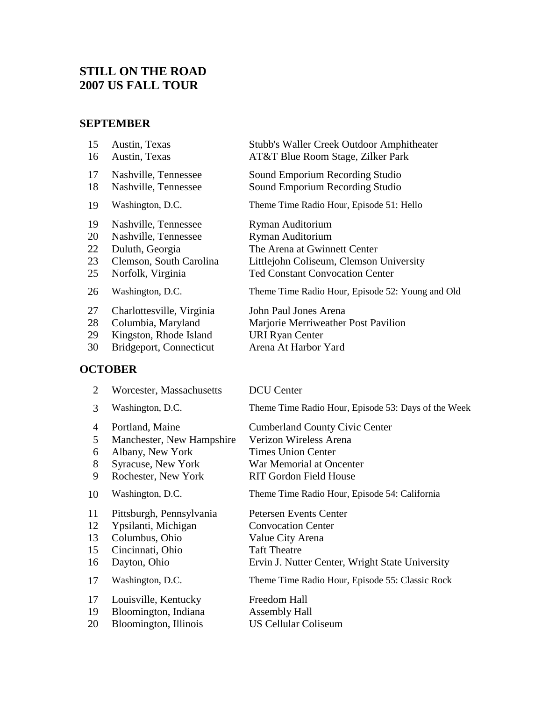# **STILL ON THE ROAD 2007 US FALL TOUR**

# **SEPTEMBER**

| 15 | Austin, Texas             | <b>Stubb's Waller Creek Outdoor Amphitheater</b> |
|----|---------------------------|--------------------------------------------------|
| 16 | Austin, Texas             | AT&T Blue Room Stage, Zilker Park                |
| 17 | Nashville, Tennessee      | Sound Emporium Recording Studio                  |
| 18 | Nashville, Tennessee      | Sound Emporium Recording Studio                  |
| 19 | Washington, D.C.          | Theme Time Radio Hour, Episode 51: Hello         |
| 19 | Nashville, Tennessee      | Ryman Auditorium                                 |
| 20 | Nashville, Tennessee      | Ryman Auditorium                                 |
| 22 | Duluth, Georgia           | The Arena at Gwinnett Center                     |
| 23 | Clemson, South Carolina   | Littlejohn Coliseum, Clemson University          |
| 25 | Norfolk, Virginia         | <b>Ted Constant Convocation Center</b>           |
| 26 | Washington, D.C.          | Theme Time Radio Hour, Episode 52: Young and Old |
| 27 | Charlottesville, Virginia | John Paul Jones Arena                            |
| 28 | Columbia, Maryland        | Marjorie Merriweather Post Pavilion              |
| 29 | Kingston, Rhode Island    | <b>URI Ryan Center</b>                           |
| 30 | Bridgeport, Connecticut   | Arena At Harbor Yard                             |
|    |                           |                                                  |

# **OCTOBER**

[Worcester, Massachusetts](#page-24-0) DCU Center

|    | 3  | Washington, D.C.          | Theme Time Radio Hour, Episode 53: Days of the Week |
|----|----|---------------------------|-----------------------------------------------------|
|    | 4  | Portland, Maine           | <b>Cumberland County Civic Center</b>               |
|    | 5  | Manchester, New Hampshire | Verizon Wireless Arena                              |
|    | 6  | Albany, New York          | <b>Times Union Center</b>                           |
|    | 8  | <b>Syracuse, New York</b> | War Memorial at Oncenter                            |
|    | 9  | Rochester, New York       | <b>RIT Gordon Field House</b>                       |
|    | 10 | Washington, D.C.          | Theme Time Radio Hour, Episode 54: California       |
| 11 |    | Pittsburgh, Pennsylvania  | <b>Petersen Events Center</b>                       |
|    | 12 | Ypsilanti, Michigan       | <b>Convocation Center</b>                           |
|    | 13 | Columbus, Ohio            | Value City Arena                                    |
|    | 15 | Cincinnati, Ohio          | <b>Taft Theatre</b>                                 |
|    | 16 | Dayton, Ohio              | Ervin J. Nutter Center, Wright State University     |
|    | 17 | Washington, D.C.          | Theme Time Radio Hour, Episode 55: Classic Rock     |
|    | 17 | Louisville, Kentucky      | Freedom Hall                                        |
|    | 19 | Bloomington, Indiana      | <b>Assembly Hall</b>                                |
|    | 20 | Bloomington, Illinois     | <b>US Cellular Coliseum</b>                         |
|    |    |                           |                                                     |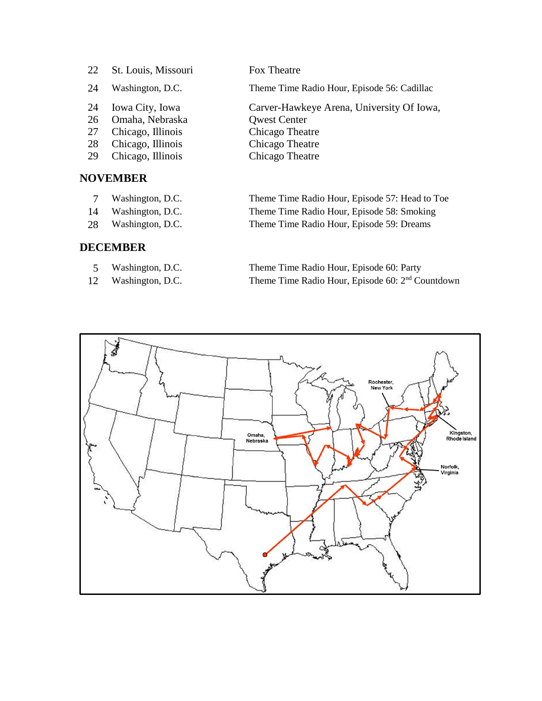| 22 | St. Louis, Missouri | Fox Theatre                                 |
|----|---------------------|---------------------------------------------|
| 24 | Washington, D.C.    | Theme Time Radio Hour, Episode 56: Cadillac |
| 24 | Iowa City, Iowa     | Carver-Hawkeye Arena, University Of Iowa,   |
| 26 | Omaha, Nebraska     | <b>Qwest Center</b>                         |
| 27 | Chicago, Illinois   | Chicago Theatre                             |
| 28 | Chicago, Illinois   | Chicago Theatre                             |
| 29 | Chicago, Illinois   | Chicago Theatre                             |
|    |                     |                                             |

# **NOVEMBER**

- 
- 
- 

## **DECEMBER**

- 
- 

 [Washington, D.C.](#page-64-0) Theme Time Radio Hour, Episode 57: Head to Toe [Washington, D.C.](#page-66-0) Theme Time Radio Hour, Episode 58: Smoking [Washington, D.C.](#page-68-0) Theme Time Radio Hour, Episode 59: Dreams

 [Washington, D.C.](#page-70-0) Theme Time Radio Hour, Episode 60: Party [Washington, D.C.](#page-72-0) Theme Time Radio Hour, Episode 60: 2<sup>nd</sup> Countdown

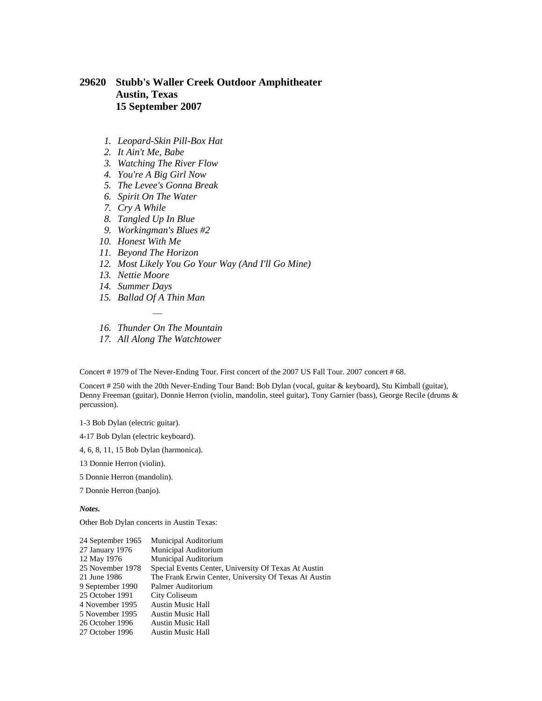## <span id="page-2-0"></span>**29620 Stubb's Waller Creek Outdoor Amphitheater Austin, Texas 15 September 2007**

- *1. Leopard-Skin Pill-Box Hat*
- *2. It Ain't Me, Babe*
- *3. Watching The River Flow*
- *4. You're A Big Girl Now*
- *5. The Levee's Gonna Break*
- *6. Spirit On The Water*
- *7. Cry A While*
- *8. Tangled Up In Blue*
- *9. Workingman's Blues #2*
- *10. Honest With Me*
- *11. Beyond The Horizon*
- *12. Most Likely You Go Your Way (And I'll Go Mine)*
- *13. Nettie Moore*
- *14. Summer Days*
- *15. Ballad Of A Thin Man*
- *— 16. Thunder On The Mountain*
- *17. All Along The Watchtower*

Concert # 1979 of The Never-Ending Tour. First concert of the 2007 US Fall Tour. 2007 concert # 68.

Concert # 250 with the 20th Never-Ending Tour Band: Bob Dylan (vocal, guitar & keyboard), Stu Kimball (guitar), Denny Freeman (guitar), Donnie Herron (violin, mandolin, steel guitar), Tony Garnier (bass), George Recile (drums & percussion).

1-3 Bob Dylan (electric guitar).

- 4-17 Bob Dylan (electric keyboard).
- 4, 6, 8, 11, 15 Bob Dylan (harmonica).

13 Donnie Herron (violin).

5 Donnie Herron (mandolin).

7 Donnie Herron (banjo).

*Notes.*

Other Bob Dylan concerts in Austin Texas:

| 24 September 1965 | Municipal Auditorium                                  |
|-------------------|-------------------------------------------------------|
| 27 January 1976   | Municipal Auditorium                                  |
| 12 May 1976       | Municipal Auditorium                                  |
| 25 November 1978  | Special Events Center, University Of Texas At Austin  |
| 21 June 1986      | The Frank Erwin Center, University Of Texas At Austin |
| 9 September 1990  | Palmer Auditorium                                     |
| 25 October 1991   | City Coliseum                                         |
| 4 November 1995   | <b>Austin Music Hall</b>                              |
| 5 November 1995   | <b>Austin Music Hall</b>                              |
| 26 October 1996   | <b>Austin Music Hall</b>                              |
| 27 October 1996   | <b>Austin Music Hall</b>                              |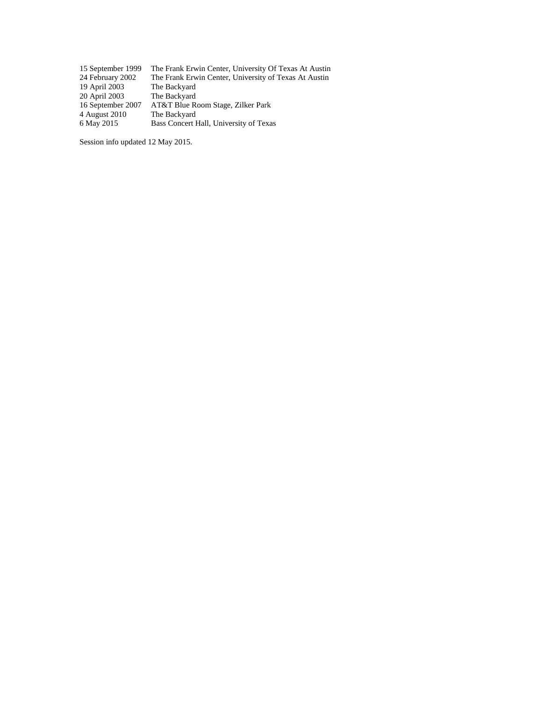| 15 September 1999 | The Frank Erwin Center, University Of Texas At Austin |
|-------------------|-------------------------------------------------------|
| 24 February 2002  | The Frank Erwin Center, University of Texas At Austin |
| 19 April 2003     | The Backyard                                          |
| 20 April 2003     | The Backyard                                          |
| 16 September 2007 | AT&T Blue Room Stage, Zilker Park                     |
| 4 August 2010     | The Backyard                                          |
| 6 May 2015        | Bass Concert Hall, University of Texas                |
|                   |                                                       |

Session info updated 12 May 2015.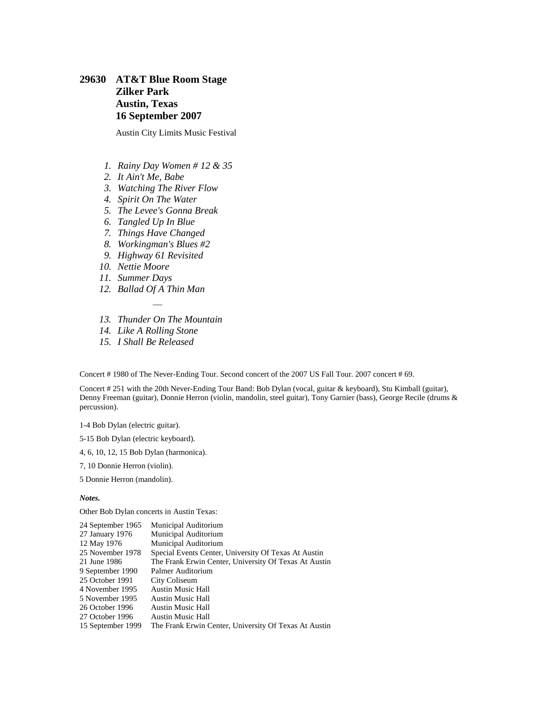## <span id="page-4-0"></span>**29630 AT&T Blue Room Stage Zilker Park Austin, Texas 16 September 2007**

Austin City Limits Music Festival

- *1. Rainy Day Women # 12 & 35*
- *2. It Ain't Me, Babe*
- *3. Watching The River Flow*
- *4. Spirit On The Water*
- *5. The Levee's Gonna Break*
- *6. Tangled Up In Blue*
- *7. Things Have Changed*
- *8. Workingman's Blues #2*
- *9. Highway 61 Revisited*
- *10. Nettie Moore*
- *11. Summer Days*
- *12. Ballad Of A Thin Man*
- *— 13. Thunder On The Mountain*
- *14. Like A Rolling Stone*
- *15. I Shall Be Released*

Concert # 1980 of The Never-Ending Tour. Second concert of the 2007 US Fall Tour. 2007 concert # 69.

Concert # 251 with the 20th Never-Ending Tour Band: Bob Dylan (vocal, guitar & keyboard), Stu Kimball (guitar), Denny Freeman (guitar), Donnie Herron (violin, mandolin, steel guitar), Tony Garnier (bass), George Recile (drums & percussion).

1-4 Bob Dylan (electric guitar).

- 5-15 Bob Dylan (electric keyboard).
- 4, 6, 10, 12, 15 Bob Dylan (harmonica).
- 7, 10 Donnie Herron (violin).

5 Donnie Herron (mandolin).

*Notes.*

Other Bob Dylan concerts in Austin Texas:

| Municipal Auditorium                                  |
|-------------------------------------------------------|
| Municipal Auditorium                                  |
| Municipal Auditorium                                  |
| Special Events Center, University Of Texas At Austin  |
| The Frank Erwin Center, University Of Texas At Austin |
| Palmer Auditorium                                     |
| City Coliseum                                         |
| <b>Austin Music Hall</b>                              |
| <b>Austin Music Hall</b>                              |
| <b>Austin Music Hall</b>                              |
| <b>Austin Music Hall</b>                              |
| The Frank Erwin Center, University Of Texas At Austin |
|                                                       |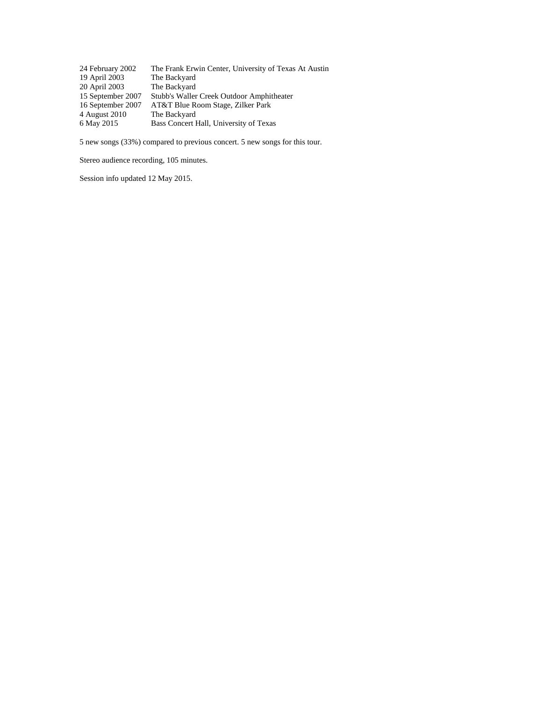| 24 February 2002  | The Frank Erwin Center, University of Texas At Austin |
|-------------------|-------------------------------------------------------|
| 19 April 2003     | The Backyard                                          |
| 20 April 2003     | The Backyard                                          |
| 15 September 2007 | Stubb's Waller Creek Outdoor Amphitheater             |
| 16 September 2007 | AT&T Blue Room Stage, Zilker Park                     |
| 4 August 2010     | The Backyard                                          |
| 6 May 2015        | Bass Concert Hall, University of Texas                |

5 new songs (33%) compared to previous concert. 5 new songs for this tour.

Stereo audience recording, 105 minutes.

Session info updated 12 May 2015.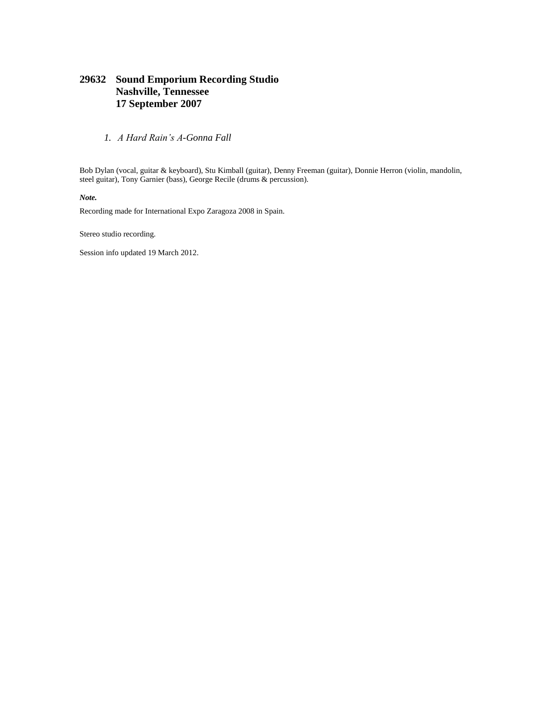### **29632 Sound Emporium Recording Studio Nashville, Tennessee 17 September 2007**

*1. A Hard Rain's A-Gonna Fall*

Bob Dylan (vocal, guitar & keyboard), Stu Kimball (guitar), Denny Freeman (guitar), Donnie Herron (violin, mandolin, steel guitar), Tony Garnier (bass), George Recile (drums & percussion).

*Note.*

Recording made for International Expo Zaragoza 2008 in Spain.

Stereo studio recording.

Session info updated 19 March 2012.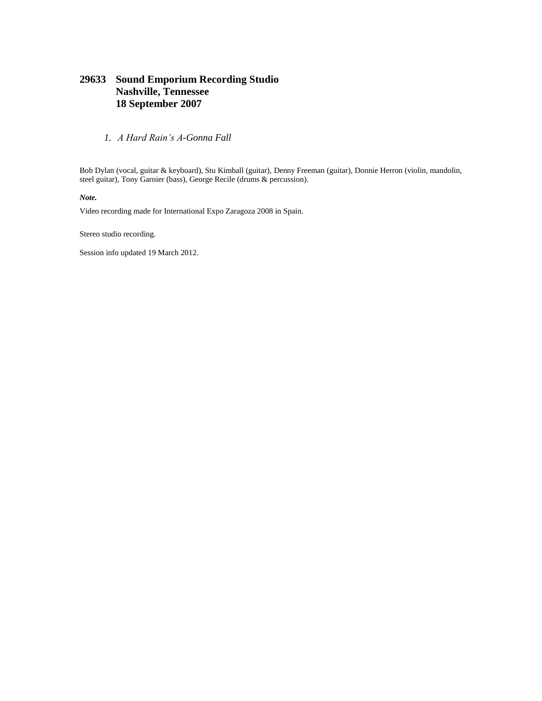### <span id="page-7-0"></span>**29633 Sound Emporium Recording Studio Nashville, Tennessee 18 September 2007**

*1. A Hard Rain's A-Gonna Fall*

Bob Dylan (vocal, guitar & keyboard), Stu Kimball (guitar), Denny Freeman (guitar), Donnie Herron (violin, mandolin, steel guitar), Tony Garnier (bass), George Recile (drums & percussion).

*Note.*

Video recording made for International Expo Zaragoza 2008 in Spain.

Stereo studio recording.

Session info updated 19 March 2012.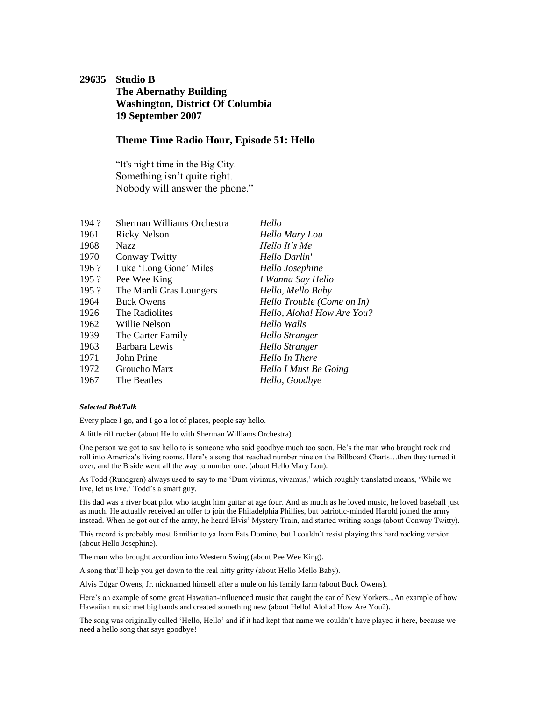## <span id="page-8-0"></span>**29635 Studio B The Abernathy Building Washington, District Of Columbia 19 September 2007**

### **Theme Time Radio Hour, Episode 51: Hello**

"It's night time in the Big City. Something isn't quite right. Nobody will answer the phone."

| 194? | Sherman Williams Orchestra | Hello                      |
|------|----------------------------|----------------------------|
| 1961 | <b>Ricky Nelson</b>        | Hello Mary Lou             |
| 1968 | Nazz                       | Hello It's Me              |
| 1970 | Conway Twitty              | Hello Darlin'              |
| 196? | Luke 'Long Gone' Miles     | Hello Josephine            |
| 195? | Pee Wee King               | I Wanna Say Hello          |
| 195? | The Mardi Gras Loungers    | Hello, Mello Baby          |
| 1964 | <b>Buck Owens</b>          | Hello Trouble (Come on In) |
| 1926 | The Radiolites             | Hello, Aloha! How Are You? |
| 1962 | Willie Nelson              | Hello Walls                |
| 1939 | The Carter Family          | Hello Stranger             |
| 1963 | Barbara Lewis              | Hello Stranger             |
| 1971 | John Prine                 | Hello In There             |
| 1972 | Groucho Marx               | Hello I Must Be Going      |
| 1967 | The Beatles                | Hello, Goodbye             |

#### *Selected BobTalk*

Every place I go, and I go a lot of places, people say hello.

A little riff rocker (about Hello with Sherman Williams Orchestra).

One person we got to say hello to is someone who said goodbye much too soon. He's the man who brought rock and roll into America's living rooms. Here's a song that reached number nine on the Billboard Charts…then they turned it over, and the B side went all the way to number one. (about Hello Mary Lou).

As Todd (Rundgren) always used to say to me 'Dum vivimus, vivamus,' which roughly translated means, 'While we live, let us live.' Todd's a smart guy.

His dad was a river boat pilot who taught him guitar at age four. And as much as he loved music, he loved baseball just as much. He actually received an offer to join the Philadelphia Phillies, but patriotic-minded Harold joined the army instead. When he got out of the army, he heard Elvis' Mystery Train, and started writing songs (about Conway Twitty).

This record is probably most familiar to ya from Fats Domino, but I couldn't resist playing this hard rocking version (about Hello Josephine).

The man who brought accordion into Western Swing (about Pee Wee King).

A song that'll help you get down to the real nitty gritty (about Hello Mello Baby).

Alvis Edgar Owens, Jr. nicknamed himself after a mule on his family farm (about Buck Owens).

Here's an example of some great Hawaiian-influenced music that caught the ear of New Yorkers...An example of how Hawaiian music met big bands and created something new (about Hello! Aloha! How Are You?).

The song was originally called 'Hello, Hello' and if it had kept that name we couldn't have played it here, because we need a hello song that says goodbye!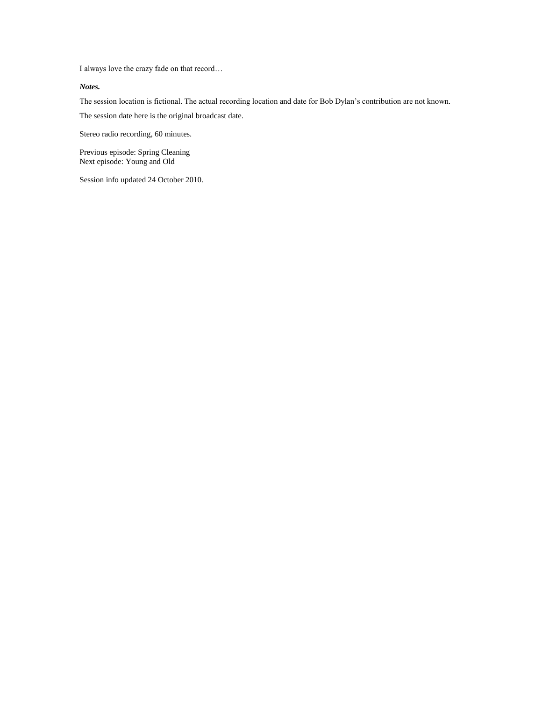I always love the crazy fade on that record…

#### *Notes.*

The session location is fictional. The actual recording location and date for Bob Dylan's contribution are not known. The session date here is the original broadcast date.

Stereo radio recording, 60 minutes.

Previous episode: [Spring Cleaning](file:///C:/Data/Privat/Websites/Olofsweb/DSN28950%20-%202007%20Europe%20Spring%20Tour.htm%23DSN29105) Next episode: [Young and Old](#page-17-0)

Session info updated 24 October 2010.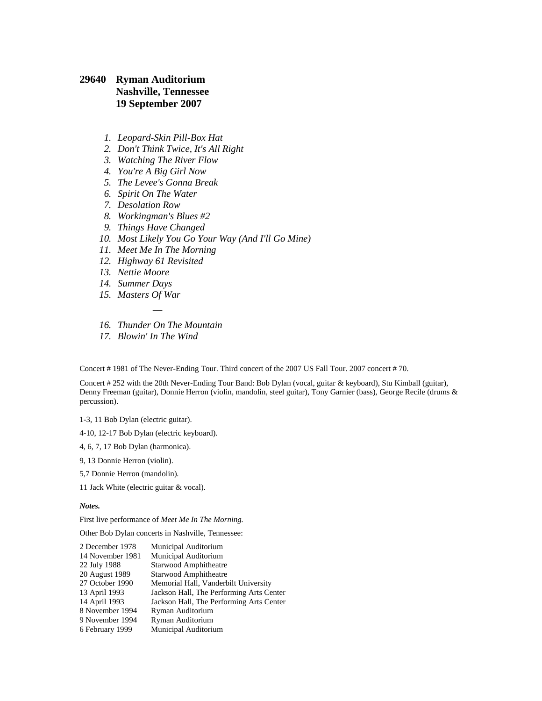### <span id="page-10-0"></span>**29640 Ryman Auditorium Nashville, Tennessee 19 September 2007**

- *1. Leopard-Skin Pill-Box Hat*
- *2. Don't Think Twice, It's All Right*
- *3. Watching The River Flow*
- *4. You're A Big Girl Now*
- *5. The Levee's Gonna Break*
- *6. Spirit On The Water*
- *7. Desolation Row*
- *8. Workingman's Blues #2*
- *9. Things Have Changed*
- *10. Most Likely You Go Your Way (And I'll Go Mine)*
- *11. Meet Me In The Morning*
- *12. Highway 61 Revisited*
- *13. Nettie Moore*
- *14. Summer Days*
- *15. Masters Of War*
- *— 16. Thunder On The Mountain*
- *17. Blowin' In The Wind*

Concert # 1981 of The Never-Ending Tour. Third concert of the 2007 US Fall Tour. 2007 concert # 70.

Concert # 252 with the 20th Never-Ending Tour Band: Bob Dylan (vocal, guitar & keyboard), Stu Kimball (guitar), Denny Freeman (guitar), Donnie Herron (violin, mandolin, steel guitar), Tony Garnier (bass), George Recile (drums & percussion).

1-3, 11 Bob Dylan (electric guitar).

4-10, 12-17 Bob Dylan (electric keyboard).

4, 6, 7, 17 Bob Dylan (harmonica).

9, 13 Donnie Herron (violin).

5,7 Donnie Herron (mandolin).

11 Jack White (electric guitar & vocal).

*Notes.*

First live performance of *Meet Me In The Morning.*

Other Bob Dylan concerts in Nashville, Tennessee:

| 2 December 1978  | Municipal Auditorium                     |
|------------------|------------------------------------------|
| 14 November 1981 | Municipal Auditorium                     |
| 22 July 1988     | Starwood Amphitheatre                    |
| 20 August 1989   | <b>Starwood Amphitheatre</b>             |
| 27 October 1990  | Memorial Hall, Vanderbilt University     |
| 13 April 1993    | Jackson Hall, The Performing Arts Center |
| 14 April 1993    | Jackson Hall, The Performing Arts Center |
| 8 November 1994  | Ryman Auditorium                         |
| 9 November 1994  | Ryman Auditorium                         |
| 6 February 1999  | Municipal Auditorium                     |
|                  |                                          |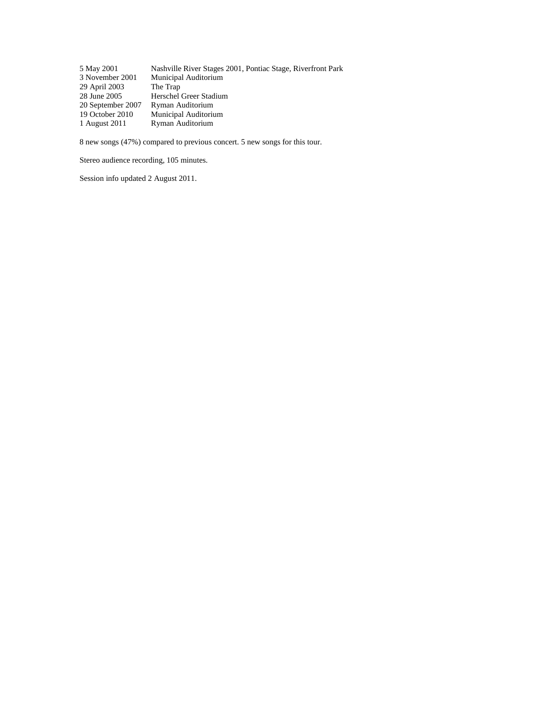| 5 May 2001        | Nashville River Stages 2001, Pontiac Stage, Riverfront Park |
|-------------------|-------------------------------------------------------------|
| 3 November 2001   | Municipal Auditorium                                        |
| 29 April 2003     | The Trap                                                    |
| 28 June 2005      | Herschel Greer Stadium                                      |
| 20 September 2007 | Ryman Auditorium                                            |
| 19 October 2010   | Municipal Auditorium                                        |
| 1 August 2011     | Ryman Auditorium                                            |

8 new songs (47%) compared to previous concert. 5 new songs for this tour.

Stereo audience recording, 105 minutes.

Session info updated 2 August 2011.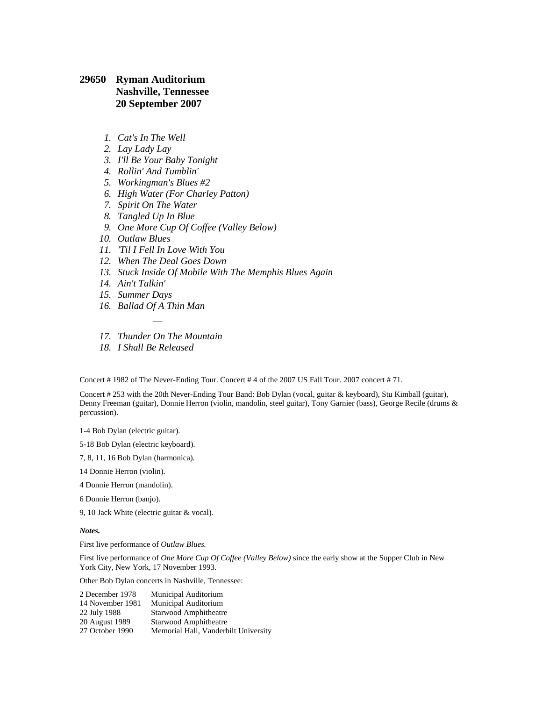### <span id="page-12-0"></span>**29650 Ryman Auditorium Nashville, Tennessee 20 September 2007**

- *1. Cat's In The Well*
- *2. Lay Lady Lay*
- *3. I'll Be Your Baby Tonight*
- *4. Rollin' And Tumblin'*
- *5. Workingman's Blues #2*
- *6. High Water (For Charley Patton)*
- *7. Spirit On The Water*
- *8. Tangled Up In Blue*
- *9. One More Cup Of Coffee (Valley Below)*
- *10. Outlaw Blues*
- *11. 'Til I Fell In Love With You*
- *12. When The Deal Goes Down*
- *13. Stuck Inside Of Mobile With The Memphis Blues Again*
- *14. Ain't Talkin'*
- *15. Summer Days*
- *16. Ballad Of A Thin Man*
- *— 17. Thunder On The Mountain*
- *18. I Shall Be Released*

Concert # 1982 of The Never-Ending Tour. Concert # 4 of the 2007 US Fall Tour. 2007 concert # 71.

Concert # 253 with the 20th Never-Ending Tour Band: Bob Dylan (vocal, guitar & keyboard), Stu Kimball (guitar), Denny Freeman (guitar), Donnie Herron (violin, mandolin, steel guitar), Tony Garnier (bass), George Recile (drums & percussion).

1-4 Bob Dylan (electric guitar).

5-18 Bob Dylan (electric keyboard).

7, 8, 11, 16 Bob Dylan (harmonica).

14 Donnie Herron (violin).

4 Donnie Herron (mandolin).

6 Donnie Herron (banjo).

9, 10 Jack White (electric guitar & vocal).

#### *Notes.*

First live performance of *Outlaw Blues.*

First live performance of *One More Cup Of Coffee (Valley Below)* since the early show at th[e Supper Club in New](file:///C:/Data/Privat/Websites/Olofsweb/DSN14600%20-%201993%20Winter%20Sessions.htm%23DSN14620)  [York City, New York, 17 November](file:///C:/Data/Privat/Websites/Olofsweb/DSN14600%20-%201993%20Winter%20Sessions.htm%23DSN14620) 1993.

Other Bob Dylan concerts in Nashville, Tennessee:

| 2 December 1978  | Municipal Auditorium                 |
|------------------|--------------------------------------|
| 14 November 1981 | Municipal Auditorium                 |
| 22 July 1988     | Starwood Amphitheatre                |
| 20 August 1989   | Starwood Amphitheatre                |
| 27 October 1990  | Memorial Hall, Vanderbilt University |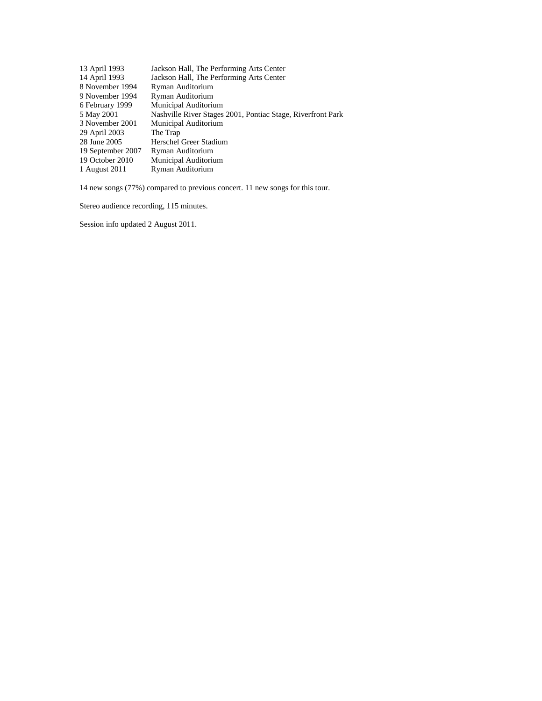| 13 April 1993     | Jackson Hall, The Performing Arts Center                    |
|-------------------|-------------------------------------------------------------|
| 14 April 1993     | Jackson Hall, The Performing Arts Center                    |
| 8 November 1994   | Ryman Auditorium                                            |
| 9 November 1994   | Ryman Auditorium                                            |
| 6 February 1999   | Municipal Auditorium                                        |
| 5 May 2001        | Nashville River Stages 2001, Pontiac Stage, Riverfront Park |
| 3 November 2001   | Municipal Auditorium                                        |
| 29 April 2003     | The Trap                                                    |
| 28 June 2005      | Herschel Greer Stadium                                      |
| 19 September 2007 | Ryman Auditorium                                            |
| 19 October 2010   | Municipal Auditorium                                        |
| 1 August 2011     | Ryman Auditorium                                            |
|                   |                                                             |

14 new songs (77%) compared to previous concert. 11 new songs for this tour.

Stereo audience recording, 115 minutes.

Session info updated 2 August 2011.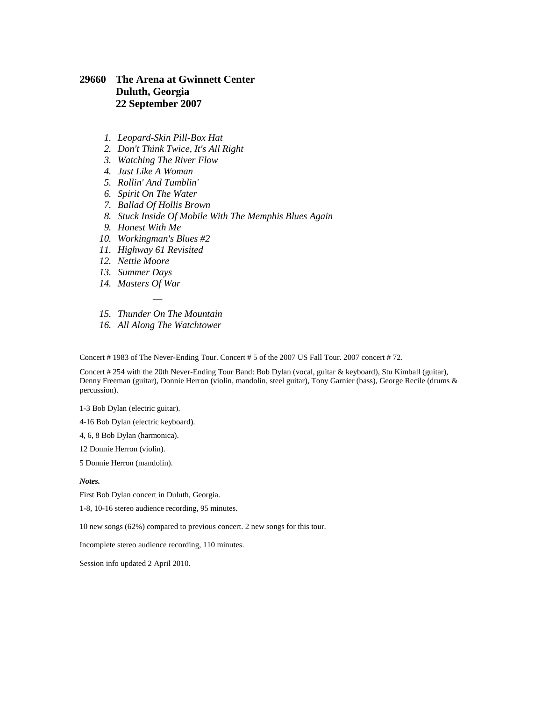### <span id="page-14-0"></span>**29660 The Arena at Gwinnett Center Duluth, Georgia 22 September 2007**

- *1. Leopard-Skin Pill-Box Hat*
- *2. Don't Think Twice, It's All Right*
- *3. Watching The River Flow*
- *4. Just Like A Woman*
- *5. Rollin' And Tumblin'*
- *6. Spirit On The Water*
- *7. Ballad Of Hollis Brown*
- *8. Stuck Inside Of Mobile With The Memphis Blues Again*
- *9. Honest With Me*
- *10. Workingman's Blues #2*
- *11. Highway 61 Revisited*
- *12. Nettie Moore*
- *13. Summer Days*
- *14. Masters Of War*
- *— 15. Thunder On The Mountain*
- *16. All Along The Watchtower*

Concert # 1983 of The Never-Ending Tour. Concert # 5 of the 2007 US Fall Tour. 2007 concert # 72.

Concert # 254 with the 20th Never-Ending Tour Band: Bob Dylan (vocal, guitar & keyboard), Stu Kimball (guitar), Denny Freeman (guitar), Donnie Herron (violin, mandolin, steel guitar), Tony Garnier (bass), George Recile (drums & percussion).

1-3 Bob Dylan (electric guitar).

4-16 Bob Dylan (electric keyboard).

4, 6, 8 Bob Dylan (harmonica).

12 Donnie Herron (violin).

5 Donnie Herron (mandolin).

#### *Notes.*

First Bob Dylan concert in Duluth, Georgia.

1-8, 10-16 stereo audience recording, 95 minutes.

10 new songs (62%) compared to previous concert. 2 new songs for this tour.

Incomplete stereo audience recording, 110 minutes.

Session info updated 2 April 2010.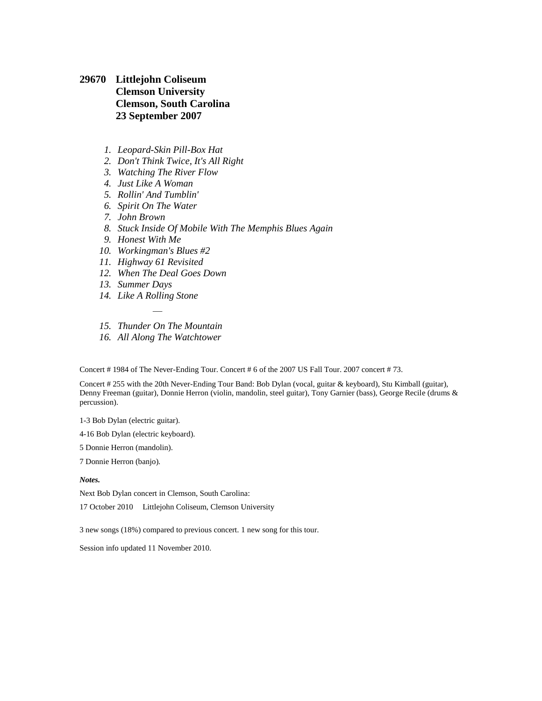<span id="page-15-0"></span>**29670 Littlejohn Coliseum Clemson University Clemson, South Carolina 23 September 2007**

- *1. Leopard-Skin Pill-Box Hat*
- *2. Don't Think Twice, It's All Right*
- *3. Watching The River Flow*
- *4. Just Like A Woman*
- *5. Rollin' And Tumblin'*
- *6. Spirit On The Water*
- *7. John Brown*
- *8. Stuck Inside Of Mobile With The Memphis Blues Again*
- *9. Honest With Me*
- *10. Workingman's Blues #2*
- *11. Highway 61 Revisited*
- *12. When The Deal Goes Down*
- *13. Summer Days*
- *14. Like A Rolling Stone*
- *— 15. Thunder On The Mountain*
- *16. All Along The Watchtower*

Concert # 1984 of The Never-Ending Tour. Concert # 6 of the 2007 US Fall Tour. 2007 concert # 73.

Concert # 255 with the 20th Never-Ending Tour Band: Bob Dylan (vocal, guitar & keyboard), Stu Kimball (guitar), Denny Freeman (guitar), Donnie Herron (violin, mandolin, steel guitar), Tony Garnier (bass), George Recile (drums & percussion).

1-3 Bob Dylan (electric guitar).

4-16 Bob Dylan (electric keyboard).

5 Donnie Herron (mandolin).

7 Donnie Herron (banjo).

#### *Notes.*

Next Bob Dylan concert in Clemson, South Carolina:

[17 October 2010](file:///C:/Data/Privat/Websites/Olofsweb/DSN32500%20-%202010%20US%20FallTour.htm%23DSN32580) Littlejohn Coliseum, Clemson University

3 new songs (18%) compared to previous concert. 1 new song for this tour.

Session info updated 11 November 2010.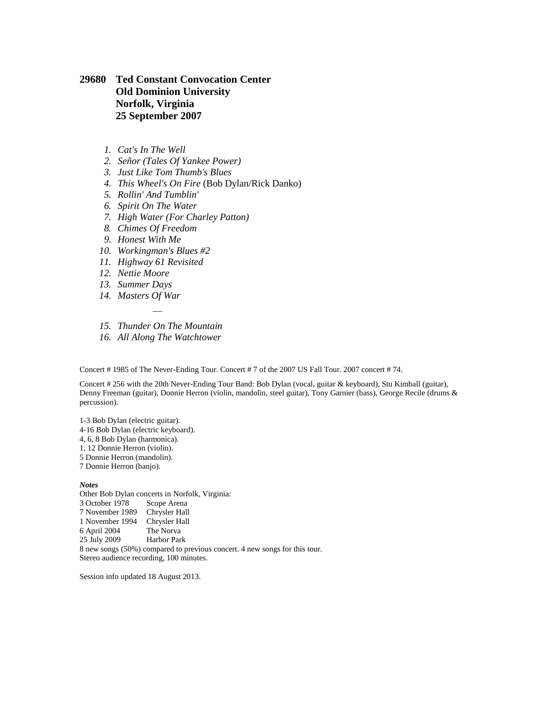### <span id="page-16-0"></span>**29680 Ted Constant Convocation Center Old Dominion University Norfolk, Virginia 25 September 2007**

- *1. Cat's In The Well*
- *2. Señor (Tales Of Yankee Power)*
- *3. Just Like Tom Thumb's Blues*
- *4. This Wheel's On Fire* (Bob Dylan/Rick Danko)
- *5. Rollin' And Tumblin'*
- *6. Spirit On The Water*
- *7. High Water (For Charley Patton)*
- *8. Chimes Of Freedom*
- *9. Honest With Me*
- *10. Workingman's Blues #2*
- *11. Highway 61 Revisited*
- *12. Nettie Moore*
- *13. Summer Days*
- *14. Masters Of War*
- *— 15. Thunder On The Mountain*
- *16. All Along The Watchtower*

Concert # 1985 of The Never-Ending Tour. Concert # 7 of the 2007 US Fall Tour. 2007 concert # 74.

Concert # 256 with the 20th Never-Ending Tour Band: Bob Dylan (vocal, guitar & keyboard), Stu Kimball (guitar), Denny Freeman (guitar), Donnie Herron (violin, mandolin, steel guitar), Tony Garnier (bass), George Recile (drums & percussion).

1-3 Bob Dylan (electric guitar). 4-16 Bob Dylan (electric keyboard). 4, 6, 8 Bob Dylan (harmonica). 1, 12 Donnie Herron (violin). 5 Donnie Herron (mandolin). 7 Donnie Herron (banjo). *Notes* Other Bob Dylan concerts in Norfolk, Virginia:

[3 October 1978](file:///C:/Data/Privat/Websites/Olofsweb/DSN04450%201978%20US%20Tour%20October.htm%23DSN04450) Scope Arena [7 November 1989](file:///C:/Data/Privat/Websites/Olofsweb/DSN10588%20-%201989%20US%20Fall%20Tour.htm%23DSN10790) Chrysler Hall [1 November 1994](file:///C:/Data/Privat/Websites/Olofsweb/DSN15420%20-%201994%20US%20Fall%20Tour.htm%23DSN15660) Chrysler Hall [6 April 2004](file:///C:/Data/Privat/Websites/Olofsweb/DSN25720%20-%202004%20US%20Spring%20Tour.htm%23DSN25980) The Norva [25 July 2009](file:///C:/Data/Privat/Websites/Olofsweb/DSN31230%20-%202009%20US%20Summer%20Tour.htm%23DSN31390) Harbor Park 8 new songs (50%) compared to previous concert. 4 new songs for this tour. Stereo audience recording, 100 minutes.

Session info updated 18 August 2013.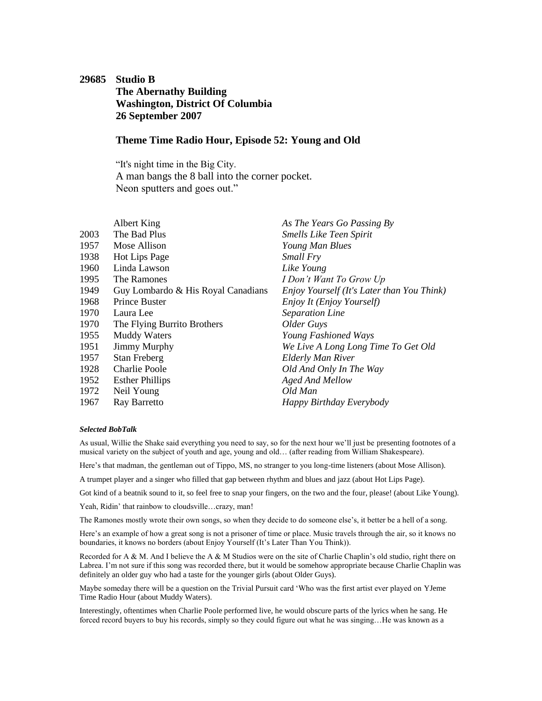### <span id="page-17-0"></span>**29685 Studio B The Abernathy Building Washington, District Of Columbia 26 September 2007**

### **Theme Time Radio Hour, Episode 52: Young and Old**

"It's night time in the Big City. A man bangs the 8 ball into the corner pocket. Neon sputters and goes out."

|      | Albert King                        | As The Years Go Passing By                 |
|------|------------------------------------|--------------------------------------------|
| 2003 | The Bad Plus                       | <b>Smells Like Teen Spirit</b>             |
| 1957 | Mose Allison                       | Young Man Blues                            |
| 1938 | <b>Hot Lips Page</b>               | Small Fry                                  |
| 1960 | Linda Lawson                       | Like Young                                 |
| 1995 | The Ramones                        | I Don't Want To Grow Up                    |
| 1949 | Guy Lombardo & His Royal Canadians | Enjoy Yourself (It's Later than You Think) |
| 1968 | Prince Buster                      | Enjoy It (Enjoy Yourself)                  |
| 1970 | Laura Lee                          | <b>Separation Line</b>                     |
| 1970 | The Flying Burrito Brothers        | Older Guys                                 |
| 1955 | <b>Muddy Waters</b>                | Young Fashioned Ways                       |
| 1951 | <b>Jimmy Murphy</b>                | We Live A Long Long Time To Get Old        |
| 1957 | <b>Stan Freberg</b>                | Elderly Man River                          |
| 1928 | <b>Charlie Poole</b>               | Old And Only In The Way                    |
| 1952 | <b>Esther Phillips</b>             | Aged And Mellow                            |
| 1972 | Neil Young                         | Old Man                                    |
| 1967 | Ray Barretto                       | Happy Birthday Everybody                   |

#### *Selected BobTalk*

As usual, Willie the Shake said everything you need to say, so for the next hour we'll just be presenting footnotes of a musical variety on the subject of youth and age, young and old… (after reading from William Shakespeare).

Here's that madman, the gentleman out of Tippo, MS, no stranger to you long-time listeners (about Mose Allison).

A trumpet player and a singer who filled that gap between rhythm and blues and jazz (about Hot Lips Page).

Got kind of a beatnik sound to it, so feel free to snap your fingers, on the two and the four, please! (about Like Young).

Yeah, Ridin' that rainbow to cloudsville…crazy, man!

The Ramones mostly wrote their own songs, so when they decide to do someone else's, it better be a hell of a song.

Here's an example of how a great song is not a prisoner of time or place. Music travels through the air, so it knows no boundaries, it knows no borders (about Enjoy Yourself (It's Later Than You Think)).

Recorded for A & M. And I believe the A & M Studios were on the site of Charlie Chaplin's old studio, right there on Labrea. I'm not sure if this song was recorded there, but it would be somehow appropriate because Charlie Chaplin was definitely an older guy who had a taste for the younger girls (about Older Guys).

Maybe someday there will be a question on the Trivial Pursuit card 'Who was the first artist ever played on YJeme Time Radio Hour (about Muddy Waters).

Interestingly, oftentimes when Charlie Poole performed live, he would obscure parts of the lyrics when he sang. He forced record buyers to buy his records, simply so they could figure out what he was singing...He was known as a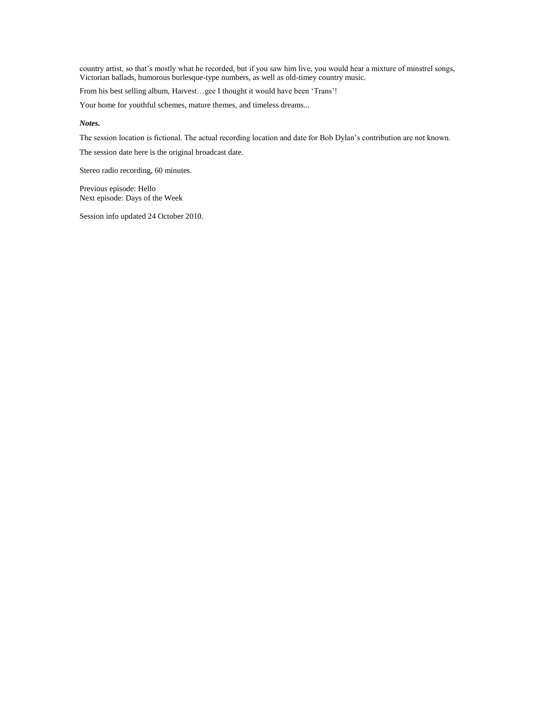country artist, so that's mostly what he recorded, but if you saw him live, you would hear a mixture of minstrel songs, Victorian ballads, humorous burlesque-type numbers, as well as old-timey country music.

From his best selling album, Harvest…gee I thought it would have been 'Trans'!

Your home for youthful schemes, mature themes, and timeless dreams...

#### *Notes.*

The session location is fictional. The actual recording location and date for Bob Dylan's contribution are not known.

The session date here is the original broadcast date.

Stereo radio recording, 60 minutes.

Previous episode: [Hello](#page-8-0) Next episode: [Days of the Week](#page-25-0)

Session info updated 24 October 2010.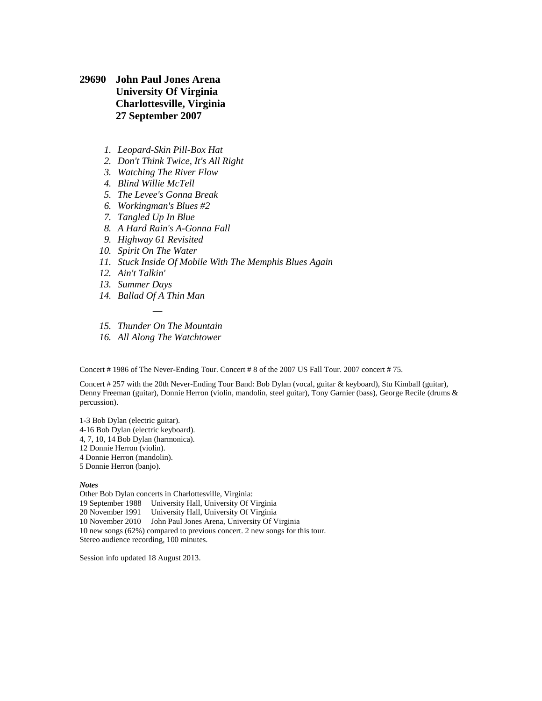- <span id="page-19-0"></span>**29690 John Paul Jones Arena University Of Virginia Charlottesville, Virginia 27 September 2007**
	- *1. Leopard-Skin Pill-Box Hat*
	- *2. Don't Think Twice, It's All Right*
	- *3. Watching The River Flow*
	- *4. Blind Willie McTell*
	- *5. The Levee's Gonna Break*
	- *6. Workingman's Blues #2*
	- *7. Tangled Up In Blue*
	- *8. A Hard Rain's A-Gonna Fall*
	- *9. Highway 61 Revisited*
	- *10. Spirit On The Water*
	- *11. Stuck Inside Of Mobile With The Memphis Blues Again*
	- *12. Ain't Talkin'*
	- *13. Summer Days*
	- *14. Ballad Of A Thin Man*
	- *— 15. Thunder On The Mountain*
	- *16. All Along The Watchtower*

Concert # 1986 of The Never-Ending Tour. Concert # 8 of the 2007 US Fall Tour. 2007 concert # 75.

Concert # 257 with the 20th Never-Ending Tour Band: Bob Dylan (vocal, guitar & keyboard), Stu Kimball (guitar), Denny Freeman (guitar), Donnie Herron (violin, mandolin, steel guitar), Tony Garnier (bass), George Recile (drums & percussion).

1-3 Bob Dylan (electric guitar). 4-16 Bob Dylan (electric keyboard). 4, 7, 10, 14 Bob Dylan (harmonica). 12 Donnie Herron (violin). 4 Donnie Herron (mandolin). 5 Donnie Herron (banjo). *Notes*

Other Bob Dylan concerts in Charlottesville, Virginia: [19 September 1988](file:///C:/Data/Privat/Websites/Olofsweb/DSN09500%201988%20Interstate-2.htm%23DSN09700) University Hall, University Of Virginia [20 November 1991](file:///C:/Data/Privat/Websites/Olofsweb/DSN12640%20-%201991%20US%20Fall%20Tour.htm%23DSN12840) University Hall, University Of Virginia [10 November 2010](file:///C:/Data/Privat/Websites/Olofsweb/DSN32500%20-%202010%20US%20FallTour.htm%23DSN32760) John Paul Jones Arena, University Of Virginia 10 new songs (62%) compared to previous concert. 2 new songs for this tour. Stereo audience recording, 100 minutes.

Session info updated 18 August 2013.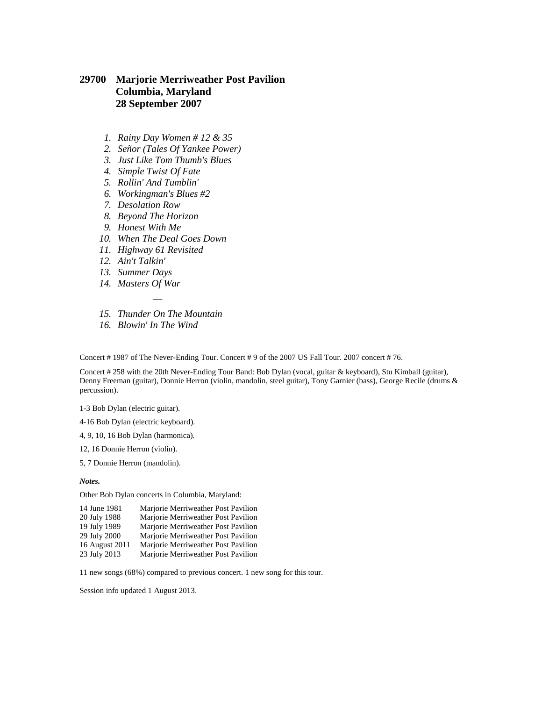### <span id="page-20-0"></span>**29700 Marjorie Merriweather Post Pavilion Columbia, Maryland 28 September 2007**

- *1. Rainy Day Women # 12 & 35*
- *2. Señor (Tales Of Yankee Power)*
- *3. Just Like Tom Thumb's Blues*
- *4. Simple Twist Of Fate*
- *5. Rollin' And Tumblin'*
- *6. Workingman's Blues #2*
- *7. Desolation Row*
- *8. Beyond The Horizon*
- *9. Honest With Me*
- *10. When The Deal Goes Down*
- *11. Highway 61 Revisited*
- *12. Ain't Talkin'*
- *13. Summer Days*
- *14. Masters Of War*
- *— 15. Thunder On The Mountain*
- *16. Blowin' In The Wind*

Concert # 1987 of The Never-Ending Tour. Concert # 9 of the 2007 US Fall Tour. 2007 concert # 76.

Concert # 258 with the 20th Never-Ending Tour Band: Bob Dylan (vocal, guitar & keyboard), Stu Kimball (guitar), Denny Freeman (guitar), Donnie Herron (violin, mandolin, steel guitar), Tony Garnier (bass), George Recile (drums & percussion).

1-3 Bob Dylan (electric guitar).

4-16 Bob Dylan (electric keyboard).

- 4, 9, 10, 16 Bob Dylan (harmonica).
- 12, 16 Donnie Herron (violin).
- 5, 7 Donnie Herron (mandolin).

#### *Notes.*

Other Bob Dylan concerts in Columbia, Maryland:

| 14 June 1981   | Marjorie Merriweather Post Pavilion |
|----------------|-------------------------------------|
| 20 July 1988   | Marjorie Merriweather Post Pavilion |
| 19 July 1989   | Marjorie Merriweather Post Pavilion |
| 29 July 2000   | Marjorie Merriweather Post Pavilion |
| 16 August 2011 | Marjorie Merriweather Post Pavilion |
| 23 July 2013   | Marjorie Merriweather Post Pavilion |

11 new songs (68%) compared to previous concert. 1 new song for this tour.

Session info updated 1 August 2013.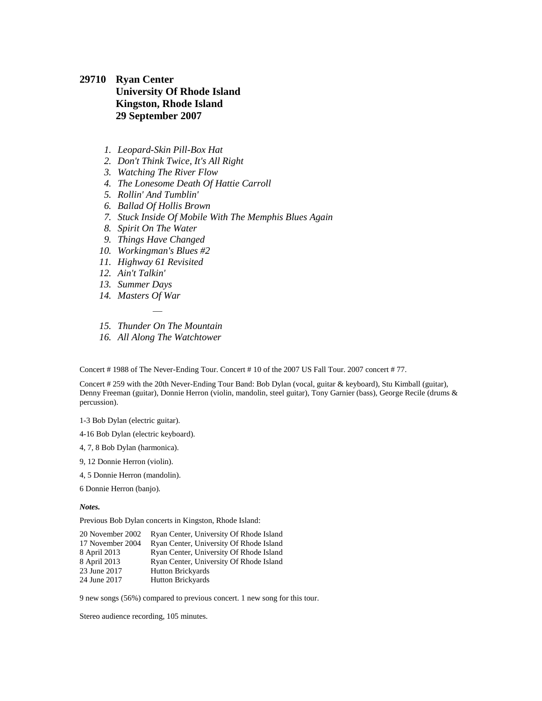## <span id="page-21-0"></span>**29710 Ryan Center University Of Rhode Island Kingston, Rhode Island 29 September 2007**

- *1. Leopard-Skin Pill-Box Hat*
- *2. Don't Think Twice, It's All Right*
- *3. Watching The River Flow*
- *4. The Lonesome Death Of Hattie Carroll*
- *5. Rollin' And Tumblin'*
- *6. Ballad Of Hollis Brown*
- *7. Stuck Inside Of Mobile With The Memphis Blues Again*
- *8. Spirit On The Water*
- *9. Things Have Changed*
- *10. Workingman's Blues #2*
- *11. Highway 61 Revisited*
- *12. Ain't Talkin'*
- *13. Summer Days*
- *14. Masters Of War*
- *— 15. Thunder On The Mountain*
- *16. All Along The Watchtower*

Concert # 1988 of The Never-Ending Tour. Concert # 10 of the 2007 US Fall Tour. 2007 concert # 77.

Concert # 259 with the 20th Never-Ending Tour Band: Bob Dylan (vocal, guitar & keyboard), Stu Kimball (guitar), Denny Freeman (guitar), Donnie Herron (violin, mandolin, steel guitar), Tony Garnier (bass), George Recile (drums & percussion).

1-3 Bob Dylan (electric guitar).

4-16 Bob Dylan (electric keyboard).

- 4, 7, 8 Bob Dylan (harmonica).
- 9, 12 Donnie Herron (violin).
- 4, 5 Donnie Herron (mandolin).

6 Donnie Herron (banjo).

#### *Notes.*

Previous Bob Dylan concerts in Kingston, Rhode Island:

| Ryan Center, University Of Rhode Island |
|-----------------------------------------|
| Ryan Center, University Of Rhode Island |
| Ryan Center, University Of Rhode Island |
| Ryan Center, University Of Rhode Island |
| <b>Hutton Brickyards</b>                |
| <b>Hutton Brickyards</b>                |
|                                         |

9 new songs (56%) compared to previous concert. 1 new song for this tour.

Stereo audience recording, 105 minutes.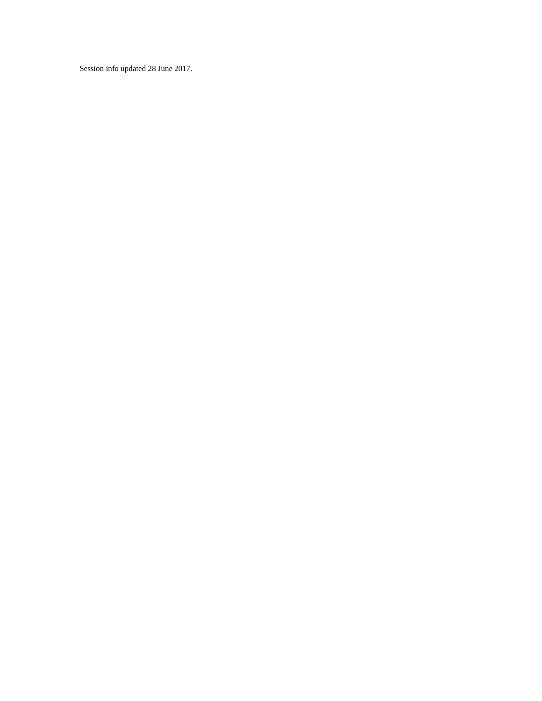Session info updated 28 June 2017.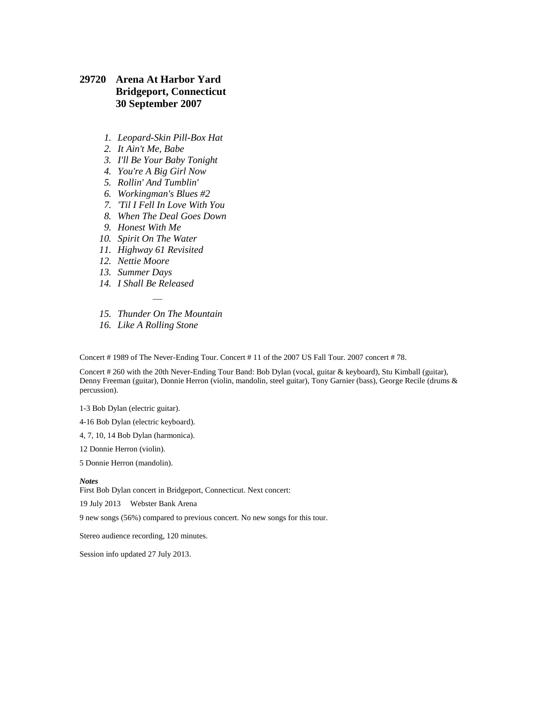### <span id="page-23-0"></span>**29720 Arena At Harbor Yard Bridgeport, Connecticut 30 September 2007**

- *1. Leopard-Skin Pill-Box Hat*
- *2. It Ain't Me, Babe*
- *3. I'll Be Your Baby Tonight*
- *4. You're A Big Girl Now*
- *5. Rollin' And Tumblin'*
- *6. Workingman's Blues #2*
- *7. 'Til I Fell In Love With You*
- *8. When The Deal Goes Down*
- *9. Honest With Me*
- *10. Spirit On The Water*
- *11. Highway 61 Revisited*
- *12. Nettie Moore*
- *13. Summer Days*
- *14. I Shall Be Released*
- *— 15. Thunder On The Mountain*
- *16. Like A Rolling Stone*

Concert # 1989 of The Never-Ending Tour. Concert # 11 of the 2007 US Fall Tour. 2007 concert # 78.

Concert # 260 with the 20th Never-Ending Tour Band: Bob Dylan (vocal, guitar & keyboard), Stu Kimball (guitar), Denny Freeman (guitar), Donnie Herron (violin, mandolin, steel guitar), Tony Garnier (bass), George Recile (drums & percussion).

1-3 Bob Dylan (electric guitar).

4-16 Bob Dylan (electric keyboard).

4, 7, 10, 14 Bob Dylan (harmonica).

12 Donnie Herron (violin).

5 Donnie Herron (mandolin).

#### *Notes*

First Bob Dylan concert in Bridgeport, Connecticut. Next concert:

[19 July 2013](DSN34890%20-%202013%20AmericanaramA%20Festival%20Of%20Music%20Tour.htm#DSN35040) Webster Bank Arena

9 new songs (56%) compared to previous concert. No new songs for this tour.

Stereo audience recording, 120 minutes.

Session info updated 27 July 2013.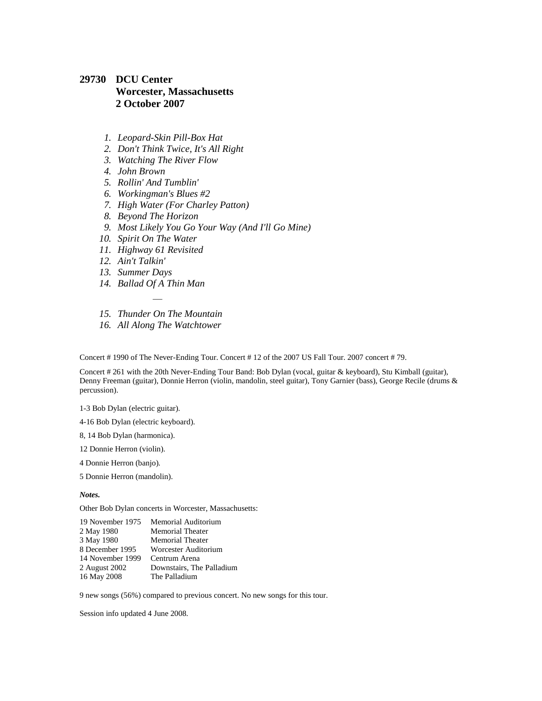### <span id="page-24-0"></span>**29730 DCU Center Worcester, Massachusetts 2 October 2007**

- *1. Leopard-Skin Pill-Box Hat*
- *2. Don't Think Twice, It's All Right*
- *3. Watching The River Flow*
- *4. John Brown*
- *5. Rollin' And Tumblin'*
- *6. Workingman's Blues #2*
- *7. High Water (For Charley Patton)*
- *8. Beyond The Horizon*
- *9. Most Likely You Go Your Way (And I'll Go Mine)*
- *10. Spirit On The Water*
- *11. Highway 61 Revisited*
- *12. Ain't Talkin'*
- *13. Summer Days*
- *14. Ballad Of A Thin Man*
- *— 15. Thunder On The Mountain*
- *16. All Along The Watchtower*

Concert # 1990 of The Never-Ending Tour. Concert # 12 of the 2007 US Fall Tour. 2007 concert # 79.

Concert # 261 with the 20th Never-Ending Tour Band: Bob Dylan (vocal, guitar & keyboard), Stu Kimball (guitar), Denny Freeman (guitar), Donnie Herron (violin, mandolin, steel guitar), Tony Garnier (bass), George Recile (drums & percussion).

1-3 Bob Dylan (electric guitar).

4-16 Bob Dylan (electric keyboard).

- 8, 14 Bob Dylan (harmonica).
- 12 Donnie Herron (violin).
- 4 Donnie Herron (banjo).
- 5 Donnie Herron (mandolin).

*Notes.*

Other Bob Dylan concerts in Worcester, Massachusetts:

| 19 November 1975 | Memorial Auditorium       |
|------------------|---------------------------|
| 2 May 1980       | <b>Memorial Theater</b>   |
| 3 May 1980       | <b>Memorial Theater</b>   |
| 8 December 1995  | Worcester Auditorium      |
| 14 November 1999 | Centrum Arena             |
| 2 August 2002    | Downstairs, The Palladium |
| 16 May 2008      | The Palladium             |

9 new songs (56%) compared to previous concert. No new songs for this tour.

Session info updated 4 June 2008.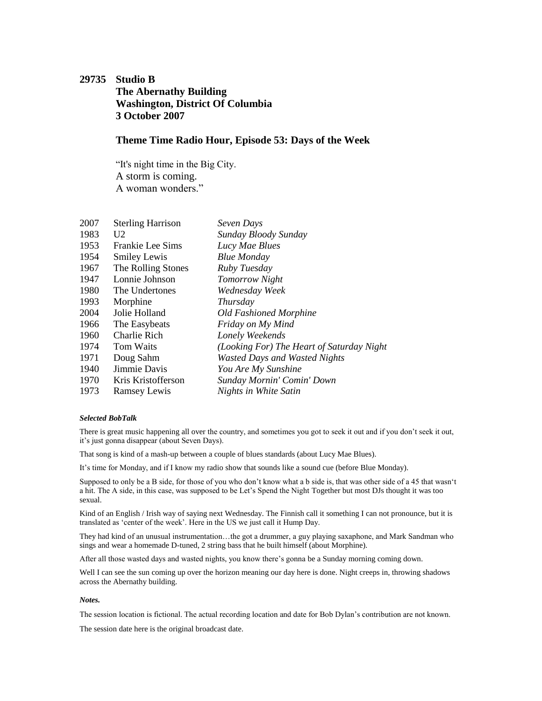## <span id="page-25-0"></span>**29735 Studio B The Abernathy Building Washington, District Of Columbia 3 October 2007**

### **Theme Time Radio Hour, Episode 53: Days of the Week**

"It's night time in the Big City. A storm is coming. A woman wonders."

| 2007 | <b>Sterling Harrison</b> | Seven Days                                |
|------|--------------------------|-------------------------------------------|
| 1983 | U2                       | Sunday Bloody Sunday                      |
| 1953 | Frankie Lee Sims         | Lucy Mae Blues                            |
| 1954 | <b>Smiley Lewis</b>      | <b>Blue Monday</b>                        |
| 1967 | The Rolling Stones       | Ruby Tuesday                              |
| 1947 | Lonnie Johnson           | Tomorrow Night                            |
| 1980 | The Undertones           | Wednesday Week                            |
| 1993 | Morphine                 | Thursday                                  |
| 2004 | Jolie Holland            | <b>Old Fashioned Morphine</b>             |
| 1966 | The Easybeats            | Friday on My Mind                         |
| 1960 | Charlie Rich             | Lonely Weekends                           |
| 1974 | Tom Waits                | (Looking For) The Heart of Saturday Night |
| 1971 | Doug Sahm                | <b>Wasted Days and Wasted Nights</b>      |
| 1940 | Jimmie Davis             | You Are My Sunshine                       |
| 1970 | Kris Kristofferson       | Sunday Mornin' Comin' Down                |
| 1973 | <b>Ramsey Lewis</b>      | Nights in White Satin                     |
|      |                          |                                           |

#### *Selected BobTalk*

There is great music happening all over the country, and sometimes you got to seek it out and if you don't seek it out, it's just gonna disappear (about Seven Days).

That song is kind of a mash-up between a couple of blues standards (about Lucy Mae Blues).

It's time for Monday, and if I know my radio show that sounds like a sound cue (before Blue Monday).

Supposed to only be a B side, for those of you who don't know what a b side is, that was other side of a 45 that wasn't a hit. The A side, in this case, was supposed to be Let's Spend the Night Together but most DJs thought it was too sexual.

Kind of an English / Irish way of saying next Wednesday. The Finnish call it something I can not pronounce, but it is translated as 'center of the week'. Here in the US we just call it Hump Day.

They had kind of an unusual instrumentation…the got a drummer, a guy playing saxaphone, and Mark Sandman who sings and wear a homemade D-tuned, 2 string bass that he built himself (about Morphine).

After all those wasted days and wasted nights, you know there's gonna be a Sunday morning coming down.

Well I can see the sun coming up over the horizon meaning our day here is done. Night creeps in, throwing shadows across the Abernathy building.

#### *Notes.*

The session location is fictional. The actual recording location and date for Bob Dylan's contribution are not known.

The session date here is the original broadcast date.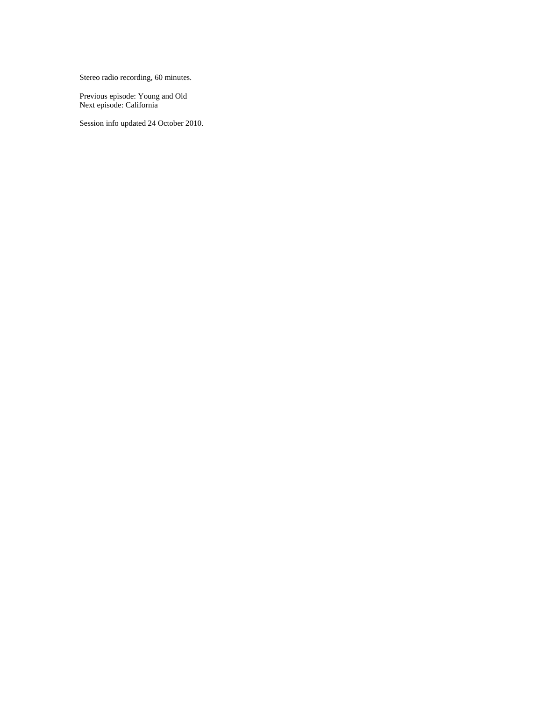Stereo radio recording, 60 minutes.

Previous episode: [Young and Old](#page-17-0) Next episode: [California](#page-35-0)

Session info updated 24 October 2010.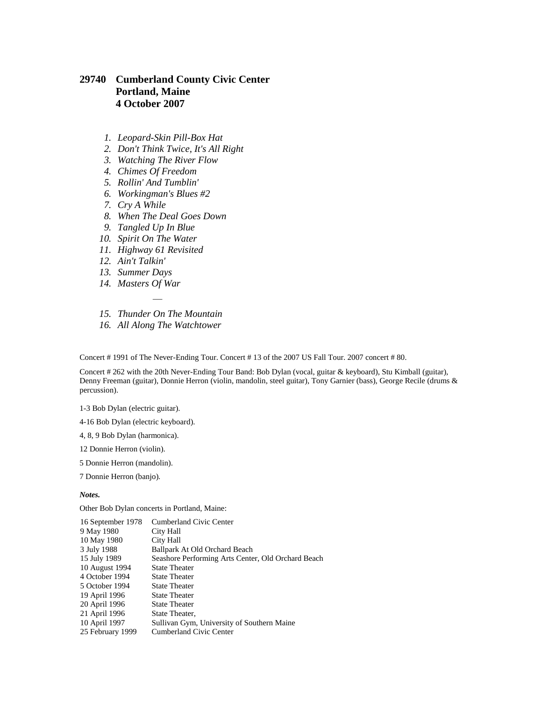### <span id="page-27-0"></span>**29740 Cumberland County Civic Center Portland, Maine 4 October 2007**

- *1. Leopard-Skin Pill-Box Hat*
- *2. Don't Think Twice, It's All Right*
- *3. Watching The River Flow*
- *4. Chimes Of Freedom*
- *5. Rollin' And Tumblin'*
- *6. Workingman's Blues #2*
- *7. Cry A While*
- *8. When The Deal Goes Down*
- *9. Tangled Up In Blue*
- *10. Spirit On The Water*
- *11. Highway 61 Revisited*
- *12. Ain't Talkin'*
- *13. Summer Days*
- *14. Masters Of War*
- *— 15. Thunder On The Mountain*
- *16. All Along The Watchtower*

Concert # 1991 of The Never-Ending Tour. Concert # 13 of the 2007 US Fall Tour. 2007 concert # 80.

Concert # 262 with the 20th Never-Ending Tour Band: Bob Dylan (vocal, guitar & keyboard), Stu Kimball (guitar), Denny Freeman (guitar), Donnie Herron (violin, mandolin, steel guitar), Tony Garnier (bass), George Recile (drums & percussion).

1-3 Bob Dylan (electric guitar).

4-16 Bob Dylan (electric keyboard).

- 4, 8, 9 Bob Dylan (harmonica).
- 12 Donnie Herron (violin).
- 5 Donnie Herron (mandolin).

7 Donnie Herron (banjo).

*Notes.*

Other Bob Dylan concerts in Portland, Maine:

| <b>Cumberland Civic Center</b>                     |
|----------------------------------------------------|
| City Hall                                          |
| City Hall                                          |
| Ballpark At Old Orchard Beach                      |
| Seashore Performing Arts Center, Old Orchard Beach |
| <b>State Theater</b>                               |
| <b>State Theater</b>                               |
| <b>State Theater</b>                               |
| <b>State Theater</b>                               |
| <b>State Theater</b>                               |
| State Theater,                                     |
| Sullivan Gym, University of Southern Maine         |
| Cumberland Civic Center                            |
|                                                    |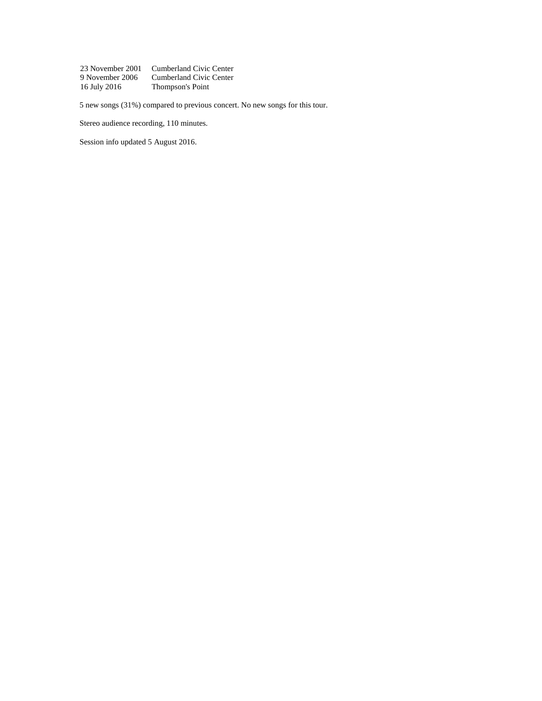| 23 November 2001 | Cumberland Civic Center |
|------------------|-------------------------|
| 9 November 2006  | Cumberland Civic Center |
| 16 July 2016     | Thompson's Point        |

5 new songs (31%) compared to previous concert. No new songs for this tour.

Stereo audience recording, 110 minutes.

Session info updated 5 August 2016.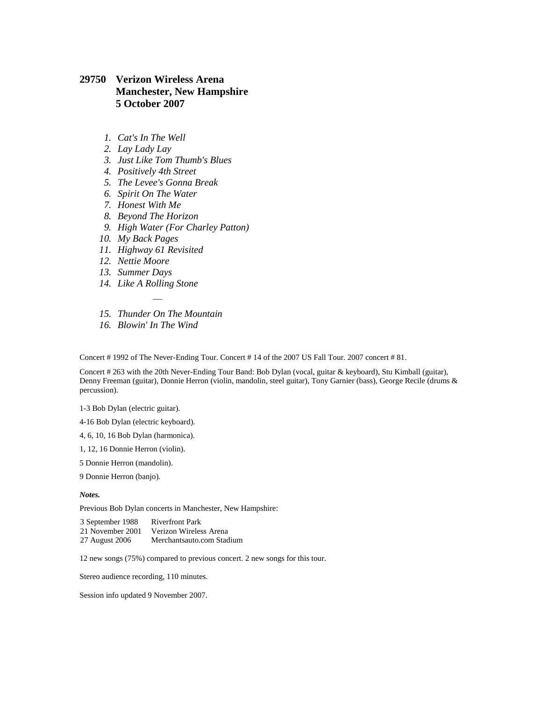### <span id="page-29-0"></span>**29750 Verizon Wireless Arena Manchester, New Hampshire 5 October 2007**

- *1. Cat's In The Well*
- *2. Lay Lady Lay*
- *3. Just Like Tom Thumb's Blues*
- *4. Positively 4th Street*
- *5. The Levee's Gonna Break*
- *6. Spirit On The Water*
- *7. Honest With Me*
- *8. Beyond The Horizon*
- *9. High Water (For Charley Patton)*
- *10. My Back Pages*
- *11. Highway 61 Revisited*
- *12. Nettie Moore*
- *13. Summer Days*
- *14. Like A Rolling Stone*
- *— 15. Thunder On The Mountain*
- *16. Blowin' In The Wind*

Concert # 1992 of The Never-Ending Tour. Concert # 14 of the 2007 US Fall Tour. 2007 concert # 81.

Concert # 263 with the 20th Never-Ending Tour Band: Bob Dylan (vocal, guitar & keyboard), Stu Kimball (guitar), Denny Freeman (guitar), Donnie Herron (violin, mandolin, steel guitar), Tony Garnier (bass), George Recile (drums & percussion).

1-3 Bob Dylan (electric guitar).

4-16 Bob Dylan (electric keyboard).

- 4, 6, 10, 16 Bob Dylan (harmonica).
- 1, 12, 16 Donnie Herron (violin).
- 5 Donnie Herron (mandolin).

9 Donnie Herron (banjo).

#### *Notes.*

Previous Bob Dylan concerts in Manchester, New Hampshire:

| 3 September 1988 | <b>Riverfront Park</b>    |
|------------------|---------------------------|
| 21 November 2001 | Verizon Wireless Arena    |
| 27 August 2006   | Merchantsauto.com Stadium |

12 new songs (75%) compared to previous concert. 2 new songs for this tour.

Stereo audience recording, 110 minutes.

Session info updated 9 November 2007.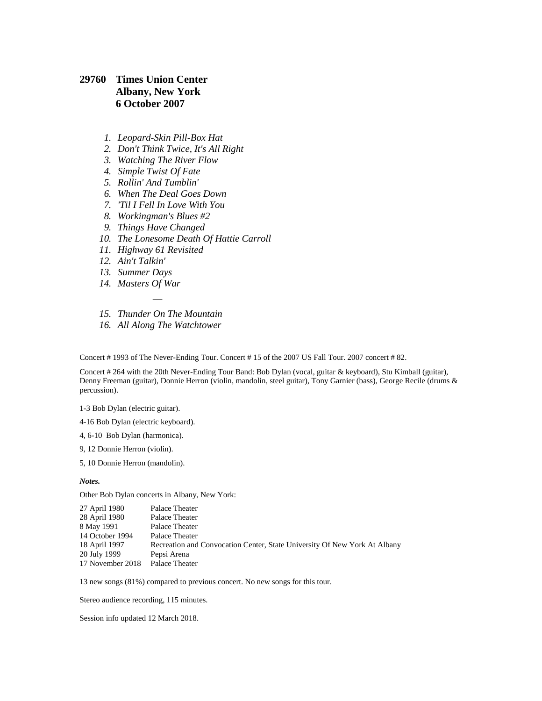### <span id="page-30-0"></span>**29760 Times Union Center Albany, New York 6 October 2007**

- *1. Leopard-Skin Pill-Box Hat*
- *2. Don't Think Twice, It's All Right*
- *3. Watching The River Flow*
- *4. Simple Twist Of Fate*
- *5. Rollin' And Tumblin'*
- *6. When The Deal Goes Down*
- *7. 'Til I Fell In Love With You*
- *8. Workingman's Blues #2*
- *9. Things Have Changed*
- *10. The Lonesome Death Of Hattie Carroll*
- *11. Highway 61 Revisited*
- *12. Ain't Talkin'*
- *13. Summer Days*
- *14. Masters Of War*
- *— 15. Thunder On The Mountain*
- *16. All Along The Watchtower*

Concert # 1993 of The Never-Ending Tour. Concert # 15 of the 2007 US Fall Tour. 2007 concert # 82.

Concert # 264 with the 20th Never-Ending Tour Band: Bob Dylan (vocal, guitar & keyboard), Stu Kimball (guitar), Denny Freeman (guitar), Donnie Herron (violin, mandolin, steel guitar), Tony Garnier (bass), George Recile (drums & percussion).

1-3 Bob Dylan (electric guitar).

4-16 Bob Dylan (electric keyboard).

- 4, 6-10 Bob Dylan (harmonica).
- 9, 12 Donnie Herron (violin).
- 5, 10 Donnie Herron (mandolin).

#### *Notes.*

Other Bob Dylan concerts in Albany, New York:

| Palace Theater                                                            |
|---------------------------------------------------------------------------|
| Palace Theater                                                            |
| Palace Theater                                                            |
| Palace Theater                                                            |
| Recreation and Convocation Center, State University Of New York At Albany |
|                                                                           |
| Palace Theater                                                            |
|                                                                           |

13 new songs (81%) compared to previous concert. No new songs for this tour.

Stereo audience recording, 115 minutes.

Session info updated 12 March 2018.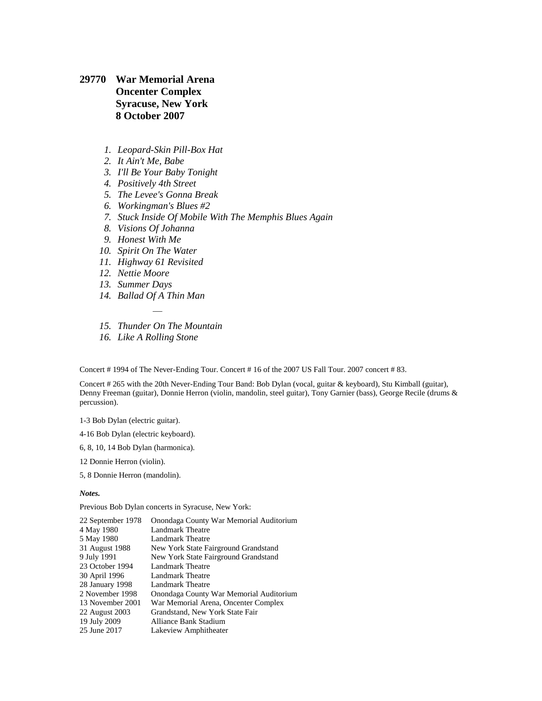<span id="page-31-0"></span>**29770 War Memorial Arena Oncenter Complex Syracuse, New York 8 October 2007**

- *1. Leopard-Skin Pill-Box Hat*
- *2. It Ain't Me, Babe*
- *3. I'll Be Your Baby Tonight*
- *4. Positively 4th Street*
- *5. The Levee's Gonna Break*
- *6. Workingman's Blues #2*
- *7. Stuck Inside Of Mobile With The Memphis Blues Again*
- *8. Visions Of Johanna*
- *9. Honest With Me*
- *10. Spirit On The Water*
- *11. Highway 61 Revisited*
- *12. Nettie Moore*
- *13. Summer Days*
- *14. Ballad Of A Thin Man*
- *— 15. Thunder On The Mountain*
- *16. Like A Rolling Stone*

Concert # 1994 of The Never-Ending Tour. Concert # 16 of the 2007 US Fall Tour. 2007 concert # 83.

Concert # 265 with the 20th Never-Ending Tour Band: Bob Dylan (vocal, guitar & keyboard), Stu Kimball (guitar), Denny Freeman (guitar), Donnie Herron (violin, mandolin, steel guitar), Tony Garnier (bass), George Recile (drums & percussion).

1-3 Bob Dylan (electric guitar).

4-16 Bob Dylan (electric keyboard).

6, 8, 10, 14 Bob Dylan (harmonica).

12 Donnie Herron (violin).

5, 8 Donnie Herron (mandolin).

*Notes.*

Previous Bob Dylan concerts in Syracuse, New York:

| 22 September 1978 | Onondaga County War Memorial Auditorium |
|-------------------|-----------------------------------------|
| 4 May 1980        | Landmark Theatre                        |
| 5 May 1980        | Landmark Theatre                        |
| 31 August 1988    | New York State Fairground Grandstand    |
| 9 July 1991       | New York State Fairground Grandstand    |
| 23 October 1994   | Landmark Theatre                        |
| 30 April 1996     | Landmark Theatre                        |
| 28 January 1998   | Landmark Theatre                        |
| 2 November 1998   | Onondaga County War Memorial Auditorium |
| 13 November 2001  | War Memorial Arena, Oncenter Complex    |
| 22 August 2003    | Grandstand, New York State Fair         |
| 19 July 2009      | Alliance Bank Stadium                   |
| 25 June 2017      | Lakeview Amphitheater                   |
|                   |                                         |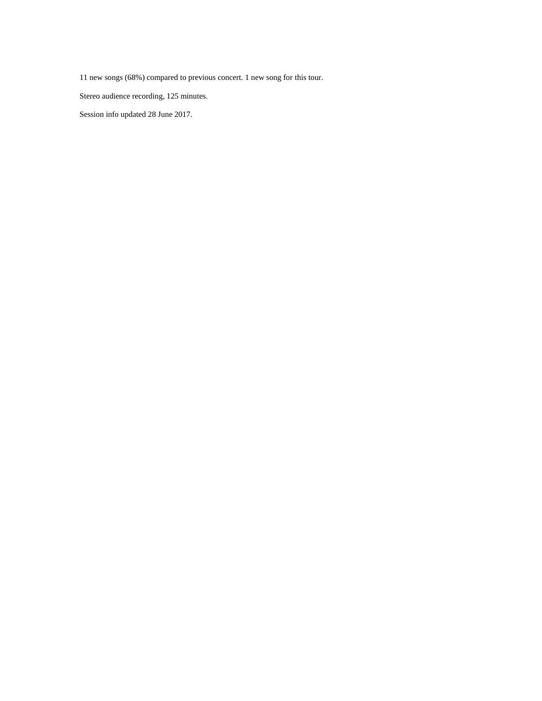11 new songs (68%) compared to previous concert. 1 new song for this tour.

Stereo audience recording, 125 minutes.

Session info updated 28 June 2017.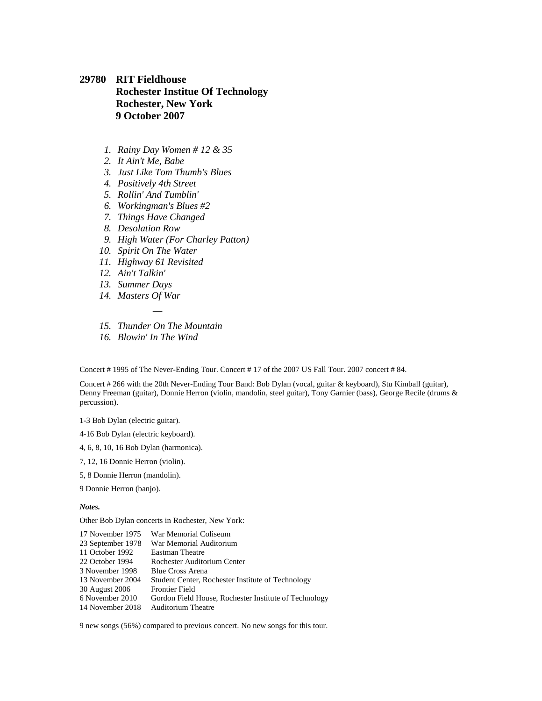### <span id="page-33-0"></span>**29780 RIT Fieldhouse Rochester Institue Of Technology Rochester, New York 9 October 2007**

- *1. Rainy Day Women # 12 & 35*
- *2. It Ain't Me, Babe*
- *3. Just Like Tom Thumb's Blues*
- *4. Positively 4th Street*
- *5. Rollin' And Tumblin'*
- *6. Workingman's Blues #2*
- *7. Things Have Changed*
- *8. Desolation Row*
- *9. High Water (For Charley Patton)*
- *10. Spirit On The Water*
- *11. Highway 61 Revisited*
- *12. Ain't Talkin'*
- *13. Summer Days*
- *14. Masters Of War*
- *— 15. Thunder On The Mountain*
- *16. Blowin' In The Wind*

Concert # 1995 of The Never-Ending Tour. Concert # 17 of the 2007 US Fall Tour. 2007 concert # 84.

Concert # 266 with the 20th Never-Ending Tour Band: Bob Dylan (vocal, guitar & keyboard), Stu Kimball (guitar), Denny Freeman (guitar), Donnie Herron (violin, mandolin, steel guitar), Tony Garnier (bass), George Recile (drums & percussion).

1-3 Bob Dylan (electric guitar).

- 4-16 Bob Dylan (electric keyboard).
- 4, 6, 8, 10, 16 Bob Dylan (harmonica).
- 7, 12, 16 Donnie Herron (violin).
- 5, 8 Donnie Herron (mandolin).
- 9 Donnie Herron (banjo).

#### *Notes.*

Other Bob Dylan concerts in Rochester, New York:

| 17 November 1975  | War Memorial Coliseum                                 |
|-------------------|-------------------------------------------------------|
| 23 September 1978 | War Memorial Auditorium                               |
| 11 October 1992   | <b>Eastman Theatre</b>                                |
| 22 October 1994   | Rochester Auditorium Center                           |
| 3 November 1998   | Blue Cross Arena                                      |
| 13 November 2004  | Student Center, Rochester Institute of Technology     |
| 30 August 2006    | <b>Frontier Field</b>                                 |
| 6 November 2010   | Gordon Field House, Rochester Institute of Technology |
| 14 November 2018  | Auditorium Theatre                                    |
|                   |                                                       |

9 new songs (56%) compared to previous concert. No new songs for this tour.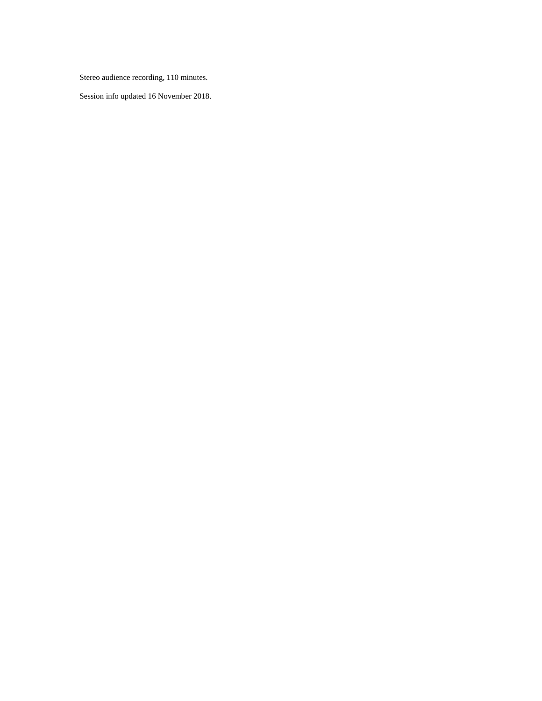Stereo audience recording, 110 minutes.

Session info updated 16 November 2018.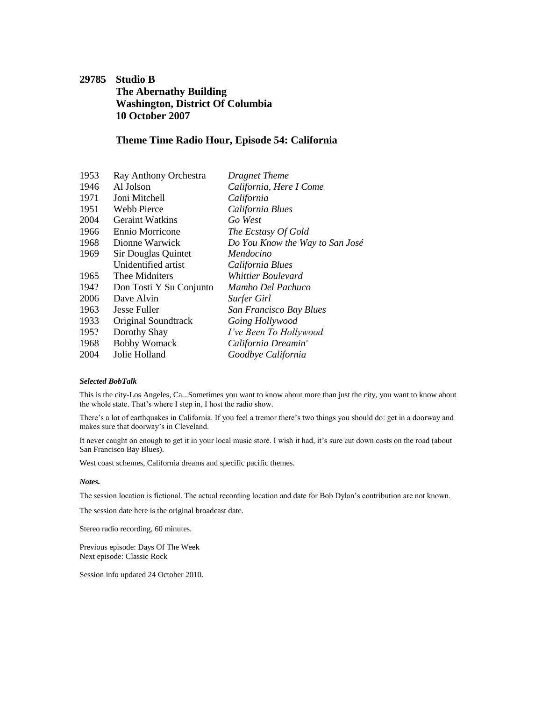## <span id="page-35-0"></span>**29785 Studio B The Abernathy Building Washington, District Of Columbia 10 October 2007**

### **Theme Time Radio Hour, Episode 54: California**

| 1953 | Ray Anthony Orchestra   | <b>Dragnet Theme</b>            |
|------|-------------------------|---------------------------------|
| 1946 | Al Jolson               | California, Here I Come         |
| 1971 | Joni Mitchell           | California                      |
| 1951 | Webb Pierce             | California Blues                |
| 2004 | <b>Geraint Watkins</b>  | Go West                         |
| 1966 | Ennio Morricone         | The Ecstasy Of Gold             |
| 1968 | Dionne Warwick          | Do You Know the Way to San José |
| 1969 | Sir Douglas Quintet     | Mendocino                       |
|      | Unidentified artist     | California Blues                |
| 1965 | Thee Midniters          | Whittier Boulevard              |
| 194? | Don Tosti Y Su Conjunto | Mambo Del Pachuco               |
| 2006 | Dave Alvin              | Surfer Girl                     |
| 1963 | Jesse Fuller            | San Francisco Bay Blues         |
| 1933 | Original Soundtrack     | Going Hollywood                 |
| 195? | Dorothy Shay            | I've Been To Hollywood          |
| 1968 | <b>Bobby Womack</b>     | California Dreamin'             |
| 2004 | Jolie Holland           | Goodbye California              |

#### *Selected BobTalk*

This is the city-Los Angeles, Ca...Sometimes you want to know about more than just the city, you want to know about the whole state. That's where I step in, I host the radio show.

There's a lot of earthquakes in California. If you feel a tremor there's two things you should do: get in a doorway and makes sure that doorway's in Cleveland.

It never caught on enough to get it in your local music store. I wish it had, it's sure cut down costs on the road (about San Francisco Bay Blues).

West coast schemes, California dreams and specific pacific themes.

#### *Notes.*

The session location is fictional. The actual recording location and date for Bob Dylan's contribution are not known.

The session date here is the original broadcast date.

Stereo radio recording, 60 minutes.

Previous episode: [Days Of The Week](#page-25-0) Next episode: [Classic Rock](#page-45-0)

Session info updated 24 October 2010.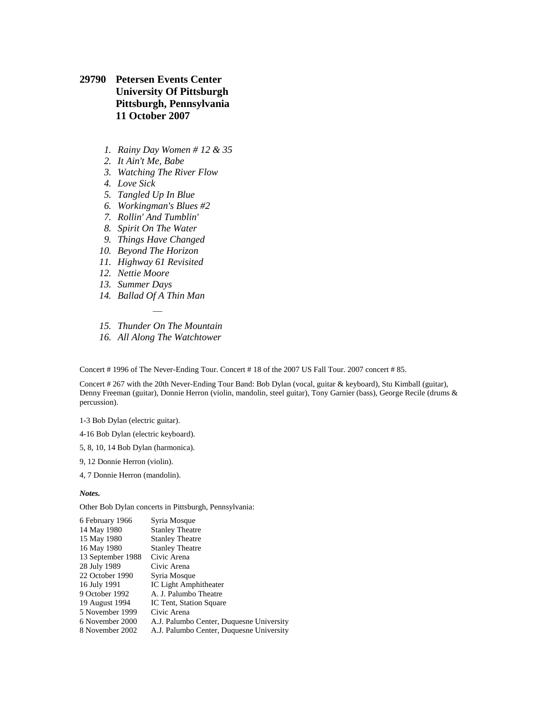- **29790 Petersen Events Center University Of Pittsburgh Pittsburgh, Pennsylvania 11 October 2007**
	- *1. Rainy Day Women # 12 & 35*
	- *2. It Ain't Me, Babe*
	- *3. Watching The River Flow*
	- *4. Love Sick*
	- *5. Tangled Up In Blue*
	- *6. Workingman's Blues #2*
	- *7. Rollin' And Tumblin'*
	- *8. Spirit On The Water*
	- *9. Things Have Changed*
	- *10. Beyond The Horizon*
	- *11. Highway 61 Revisited*
	- *12. Nettie Moore*
	- *13. Summer Days*
	- *14. Ballad Of A Thin Man*
	- *— 15. Thunder On The Mountain*
	- *16. All Along The Watchtower*

Concert # 1996 of The Never-Ending Tour. Concert # 18 of the 2007 US Fall Tour. 2007 concert # 85.

Concert # 267 with the 20th Never-Ending Tour Band: Bob Dylan (vocal, guitar & keyboard), Stu Kimball (guitar), Denny Freeman (guitar), Donnie Herron (violin, mandolin, steel guitar), Tony Garnier (bass), George Recile (drums & percussion).

1-3 Bob Dylan (electric guitar).

4-16 Bob Dylan (electric keyboard).

- 5, 8, 10, 14 Bob Dylan (harmonica).
- 9, 12 Donnie Herron (violin).
- 4, 7 Donnie Herron (mandolin).

*Notes.*

Other Bob Dylan concerts in Pittsburgh, Pennsylvania:

| 6 February 1966   | Syria Mosque                             |
|-------------------|------------------------------------------|
| 14 May 1980       | <b>Stanley Theatre</b>                   |
| 15 May 1980       | <b>Stanley Theatre</b>                   |
| 16 May 1980       | <b>Stanley Theatre</b>                   |
| 13 September 1988 | Civic Arena                              |
| 28 July 1989      | Civic Arena                              |
| 22 October 1990   | Syria Mosque                             |
| 16 July 1991      | <b>IC Light Amphitheater</b>             |
| 9 October 1992    | A. J. Palumbo Theatre                    |
| 19 August 1994    | IC Tent, Station Square                  |
| 5 November 1999   | Civic Arena                              |
| 6 November 2000   | A.J. Palumbo Center, Duquesne University |
| 8 November 2002   | A.J. Palumbo Center, Duquesne University |
|                   |                                          |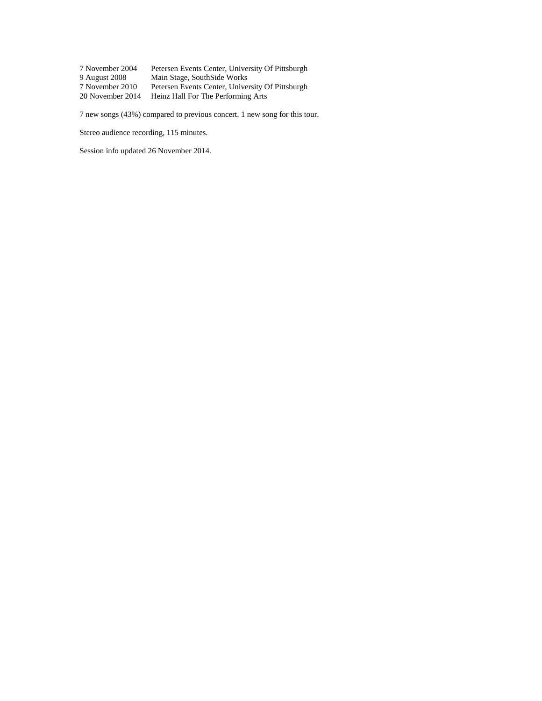| 7 November 2004  | Petersen Events Center, University Of Pittsburgh |
|------------------|--------------------------------------------------|
| 9 August 2008    | Main Stage, SouthSide Works                      |
| 7 November 2010  | Petersen Events Center, University Of Pittsburgh |
| 20 November 2014 | Heinz Hall For The Performing Arts               |

7 new songs (43%) compared to previous concert. 1 new song for this tour.

Stereo audience recording, 115 minutes.

Session info updated 26 November 2014.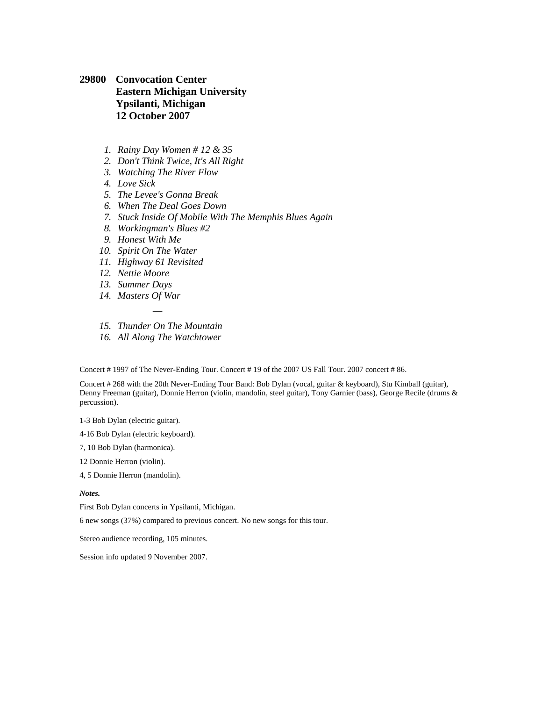## **29800 Convocation Center Eastern Michigan University Ypsilanti, Michigan 12 October 2007**

- *1. Rainy Day Women # 12 & 35*
- *2. Don't Think Twice, It's All Right*
- *3. Watching The River Flow*
- *4. Love Sick*
- *5. The Levee's Gonna Break*
- *6. When The Deal Goes Down*
- *7. Stuck Inside Of Mobile With The Memphis Blues Again*
- *8. Workingman's Blues #2*
- *9. Honest With Me*
- *10. Spirit On The Water*
- *11. Highway 61 Revisited*
- *12. Nettie Moore*
- *13. Summer Days*
- *14. Masters Of War*
- *— 15. Thunder On The Mountain*
- *16. All Along The Watchtower*

Concert # 1997 of The Never-Ending Tour. Concert # 19 of the 2007 US Fall Tour. 2007 concert # 86.

Concert # 268 with the 20th Never-Ending Tour Band: Bob Dylan (vocal, guitar & keyboard), Stu Kimball (guitar), Denny Freeman (guitar), Donnie Herron (violin, mandolin, steel guitar), Tony Garnier (bass), George Recile (drums & percussion).

1-3 Bob Dylan (electric guitar).

4-16 Bob Dylan (electric keyboard).

7, 10 Bob Dylan (harmonica).

12 Donnie Herron (violin).

4, 5 Donnie Herron (mandolin).

#### *Notes.*

First Bob Dylan concerts in Ypsilanti, Michigan.

6 new songs (37%) compared to previous concert. No new songs for this tour.

Stereo audience recording, 105 minutes.

Session info updated 9 November 2007.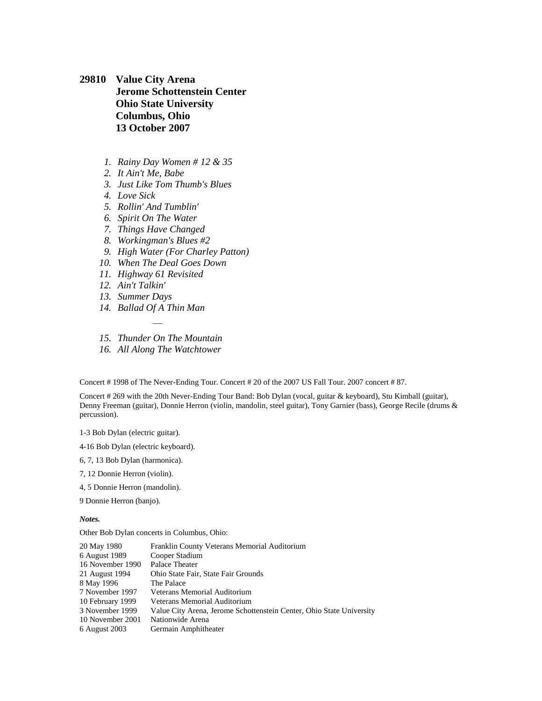**29810 Value City Arena Jerome Schottenstein Center Ohio State University Columbus, Ohio 13 October 2007**

- *1. Rainy Day Women # 12 & 35*
- *2. It Ain't Me, Babe*
- *3. Just Like Tom Thumb's Blues*
- *4. Love Sick*
- *5. Rollin' And Tumblin'*
- *6. Spirit On The Water*
- *7. Things Have Changed*
- *8. Workingman's Blues #2*
- *9. High Water (For Charley Patton)*
- *10. When The Deal Goes Down*
- *11. Highway 61 Revisited*
- *12. Ain't Talkin'*
- *13. Summer Days*
- *14. Ballad Of A Thin Man*
- *— 15. Thunder On The Mountain*
- *16. All Along The Watchtower*

Concert # 1998 of The Never-Ending Tour. Concert # 20 of the 2007 US Fall Tour. 2007 concert # 87.

Concert # 269 with the 20th Never-Ending Tour Band: Bob Dylan (vocal, guitar & keyboard), Stu Kimball (guitar), Denny Freeman (guitar), Donnie Herron (violin, mandolin, steel guitar), Tony Garnier (bass), George Recile (drums & percussion).

1-3 Bob Dylan (electric guitar).

4-16 Bob Dylan (electric keyboard).

6, 7, 13 Bob Dylan (harmonica).

7, 12 Donnie Herron (violin).

4, 5 Donnie Herron (mandolin).

9 Donnie Herron (banjo).

*Notes.*

Other Bob Dylan concerts in Columbus, Ohio:

| 20 May 1980      | Franklin County Veterans Memorial Auditorium                         |
|------------------|----------------------------------------------------------------------|
| 6 August 1989    | Cooper Stadium                                                       |
| 16 November 1990 | Palace Theater                                                       |
| 21 August 1994   | Ohio State Fair, State Fair Grounds                                  |
| 8 May 1996       | The Palace                                                           |
| 7 November 1997  | Veterans Memorial Auditorium                                         |
| 10 February 1999 | Veterans Memorial Auditorium                                         |
| 3 November 1999  | Value City Arena, Jerome Schottenstein Center, Ohio State University |
| 10 November 2001 | Nationwide Arena                                                     |
| 6 August 2003    | Germain Amphitheater                                                 |
|                  |                                                                      |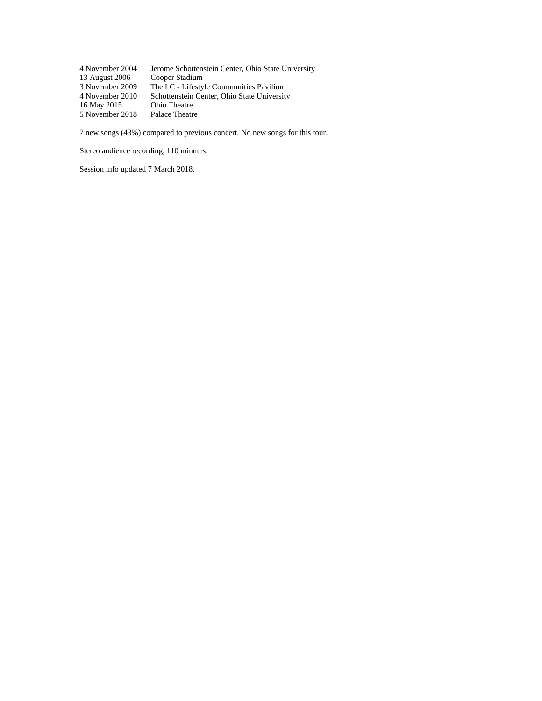[4 November 2004](file:///C:/Data/Privat/Websites/Olofsweb/DSN26540%20-%202004%20US%20Fall%20College%20Tour.htm%23DSN26700) Jerome Schottenstein Center, Ohio State University<br>13 August 2006 Cooper Stadium [13 August 2006](file:///C:/Data/Privat/Websites/Olofsweb/DSN28450%20-%202006%20US%20Summer%20Tour.htm%23DSN28460)<br>3 November 2009 The LC - Lifestyle Communities Pavilion Schottenstein Center, Ohio State University<br>Ohio Theatre 4 November 2010<br>[16 May 2015](DSN36430%20-%202015%20US%20Spring%20Tour.htm#DSN36690) [5 November 2018](DSN38620%20-%202017%20US%20Fall%20Tour.htm#DSN38750) Palace Theatre

7 new songs (43%) compared to previous concert. No new songs for this tour.

Stereo audience recording, 110 minutes.

Session info updated 7 March 2018.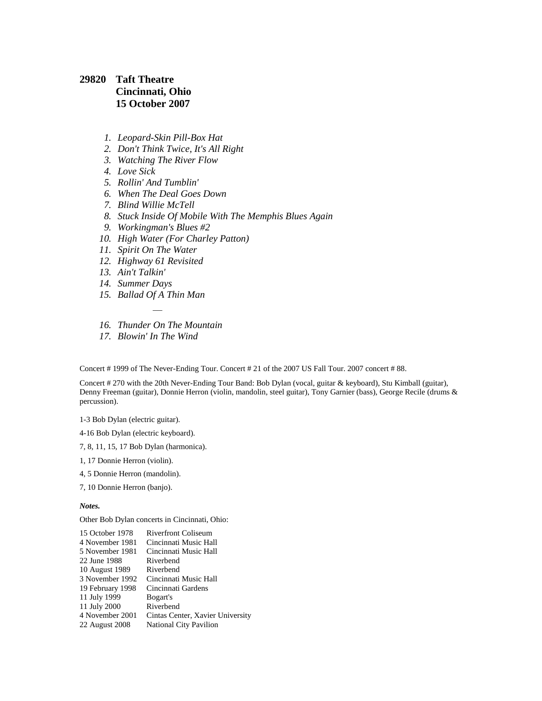## **29820 Taft Theatre Cincinnati, Ohio 15 October 2007**

- *1. Leopard-Skin Pill-Box Hat*
- *2. Don't Think Twice, It's All Right*
- *3. Watching The River Flow*
- *4. Love Sick*
- *5. Rollin' And Tumblin'*
- *6. When The Deal Goes Down*
- *7. Blind Willie McTell*
- *8. Stuck Inside Of Mobile With The Memphis Blues Again*
- *9. Workingman's Blues #2*
- *10. High Water (For Charley Patton)*
- *11. Spirit On The Water*
- *12. Highway 61 Revisited*
- *13. Ain't Talkin'*
- *14. Summer Days*
- *15. Ballad Of A Thin Man*
- *— 16. Thunder On The Mountain*
- *17. Blowin' In The Wind*

Concert # 1999 of The Never-Ending Tour. Concert # 21 of the 2007 US Fall Tour. 2007 concert # 88.

Concert # 270 with the 20th Never-Ending Tour Band: Bob Dylan (vocal, guitar & keyboard), Stu Kimball (guitar), Denny Freeman (guitar), Donnie Herron (violin, mandolin, steel guitar), Tony Garnier (bass), George Recile (drums & percussion).

1-3 Bob Dylan (electric guitar).

- 4-16 Bob Dylan (electric keyboard).
- 7, 8, 11, 15, 17 Bob Dylan (harmonica).
- 1, 17 Donnie Herron (violin).
- 4, 5 Donnie Herron (mandolin).
- 7, 10 Donnie Herron (banjo).

*Notes.*

Other Bob Dylan concerts in Cincinnati, Ohio:

| 15 October 1978  | <b>Riverfront Coliseum</b>       |
|------------------|----------------------------------|
| 4 November 1981  | Cincinnati Music Hall            |
| 5 November 1981  | Cincinnati Music Hall            |
| 22 June 1988     | Riverbend                        |
| 10 August 1989   | Riverbend                        |
| 3 November 1992  | Cincinnati Music Hall            |
| 19 February 1998 | Cincinnati Gardens               |
| 11 July 1999     | Bogart's                         |
| 11 July 2000     | Riverbend                        |
| 4 November 2001  | Cintas Center, Xavier University |
| 22 August 2008   | <b>National City Pavilion</b>    |
|                  |                                  |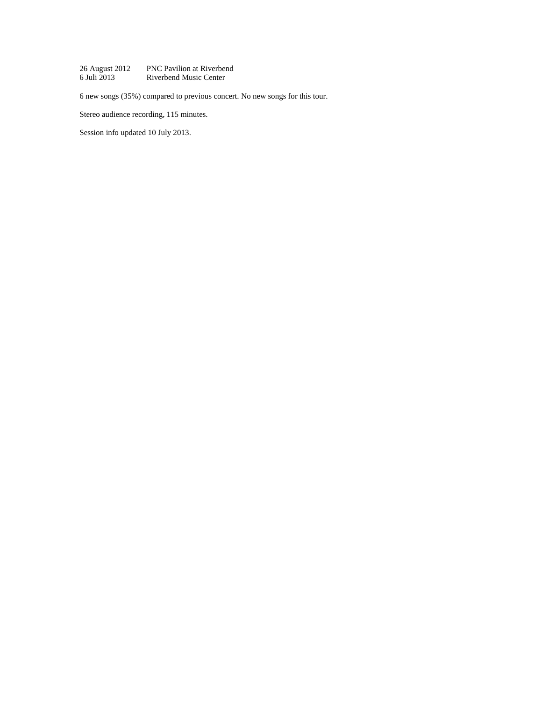[26 August 2012](file:///C:/Users/Olof/AppData/Roaming/Microsoft/Word/DSN34110%20-%202012%20US%20Summer%20Tour.htm%23DSN34220) PNC Pavilion at Riverbend<br>6 Juli 2013 Riverbend Music Center Riverbend Music Center

6 new songs (35%) compared to previous concert. No new songs for this tour.

Stereo audience recording, 115 minutes.

Session info updated 10 July 2013.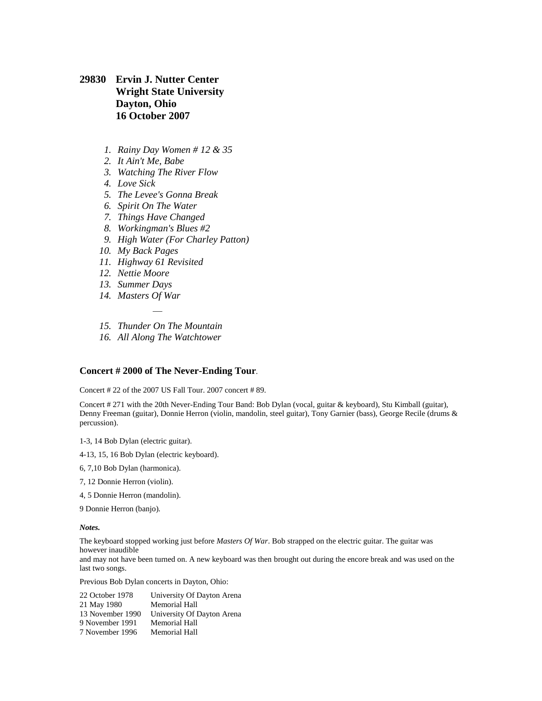**29830 Ervin J. Nutter Center Wright State University Dayton, Ohio 16 October 2007**

- *1. Rainy Day Women # 12 & 35*
- *2. It Ain't Me, Babe*
- *3. Watching The River Flow*
- *4. Love Sick*
- *5. The Levee's Gonna Break*
- *6. Spirit On The Water*
- *7. Things Have Changed*
- *8. Workingman's Blues #2*
- *9. High Water (For Charley Patton)*
- *10. My Back Pages*
- *11. Highway 61 Revisited*
- *12. Nettie Moore*
- *13. Summer Days*
- *14. Masters Of War*
- *— 15. Thunder On The Mountain*
- *16. All Along The Watchtower*

### **Concert # 2000 of The Never-Ending Tour**.

Concert # 22 of the 2007 US Fall Tour. 2007 concert # 89.

Concert # 271 with the 20th Never-Ending Tour Band: Bob Dylan (vocal, guitar & keyboard), Stu Kimball (guitar), Denny Freeman (guitar), Donnie Herron (violin, mandolin, steel guitar), Tony Garnier (bass), George Recile (drums & percussion).

1-3, 14 Bob Dylan (electric guitar).

- 4-13, 15, 16 Bob Dylan (electric keyboard).
- 6, 7,10 Bob Dylan (harmonica).
- 7, 12 Donnie Herron (violin).
- 4, 5 Donnie Herron (mandolin).

9 Donnie Herron (banjo).

*Notes.*

last two songs.

The keyboard stopped working just before *Masters Of War*. Bob strapped on the electric guitar. The guitar was however inaudible and may not have been turned on. A new keyboard was then brought out during the encore break and was used on the

Previous Bob Dylan concerts in Dayton, Ohio:

[22 October 1978](file:///C:/Data/Privat/Websites/Olofsweb/DSN04450%201978%20US%20Tour%20October.htm%23DSN04590) University Of Dayton Arena [21 May 1980](file:///C:/Data/Privat/Websites/Olofsweb/DSN05570%201980%20Third%20Gospel%20Tour.htm%23DSN05850) Memorial Hall [13 November 1990](file:///C:/Data/Privat/Websites/Olofsweb/DSN11530%20-%201990%20US%20Fall%20Tour.htm%23DSN11780) University Of Dayton Arena [9 November 1991](file:///C:/Data/Privat/Websites/Olofsweb/DSN12640%20-%201991%20US%20Fall%20Tour.htm%23DSN12760) Memorial Hall [7 November 1996](file:///C:/Data/Privat/Websites/Olofsweb/DSN17560%20-%201996%20US%20Fall%20Tour.htm%23DSN17710) Memorial Hall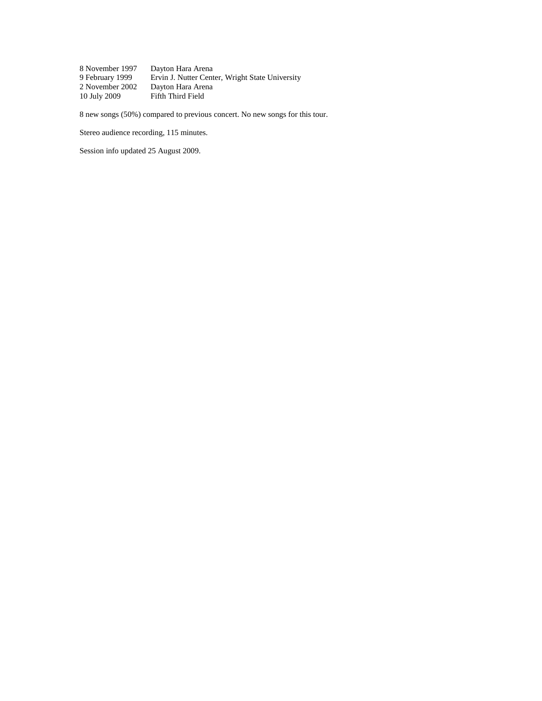[8 November 1997](file:///C:/Data/Privat/Websites/Olofsweb/DSN18520%20-%201997%20US%20Fall%20Tour.htm%23DSN18640) Dayton Hara Arena<br>9 February 1999 Ervin J. Nutter Cent [9 February 1999](file:///C:/Data/Privat/Websites/Olofsweb/DSN19970.htm%23DSN20070) Ervin J. Nutter Center, Wright State University<br>2 November 2002 Dayton Hara Arena [2 November 2002](file:///C:/Data/Privat/Websites/Olofsweb/DSN24270%20-%202002%20US%20Fall%20Tour.htm%23DSN24490) Dayton Hara Arena Fifth Third Field

8 new songs (50%) compared to previous concert. No new songs for this tour.

Stereo audience recording, 115 minutes.

Session info updated 25 August 2009.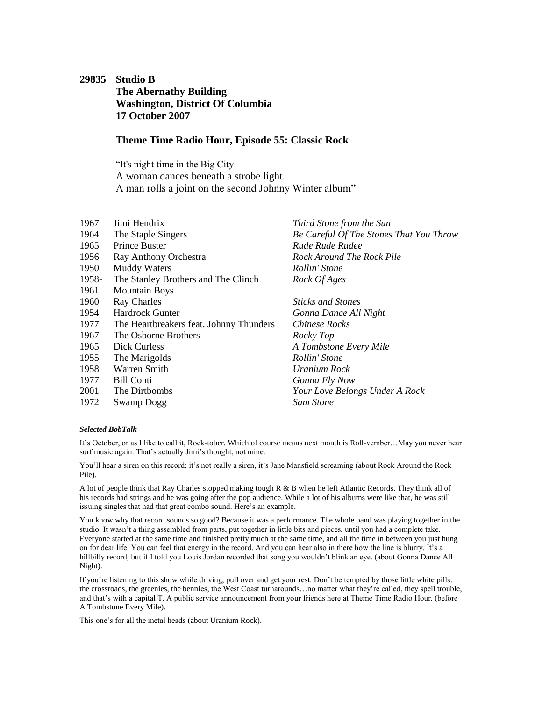# <span id="page-45-0"></span>**29835 Studio B The Abernathy Building Washington, District Of Columbia 17 October 2007**

### **Theme Time Radio Hour, Episode 55: Classic Rock**

"It's night time in the Big City. A woman dances beneath a strobe light. A man rolls a joint on the second Johnny Winter album"

| 1967  | Jimi Hendrix                            | Third Stone from the Sun                |
|-------|-----------------------------------------|-----------------------------------------|
| 1964  | The Staple Singers                      | Be Careful Of The Stones That You Throw |
| 1965  | Prince Buster                           | Rude Rude Rudee                         |
| 1956  | Ray Anthony Orchestra                   | Rock Around The Rock Pile               |
| 1950  | <b>Muddy Waters</b>                     | Rollin' Stone                           |
| 1958- | The Stanley Brothers and The Clinch     | Rock Of Ages                            |
| 1961  | <b>Mountain Boys</b>                    |                                         |
| 1960  | <b>Ray Charles</b>                      | <b>Sticks and Stones</b>                |
| 1954  | Hardrock Gunter                         | Gonna Dance All Night                   |
| 1977  | The Heartbreakers feat. Johnny Thunders | <b>Chinese Rocks</b>                    |
| 1967  | The Osborne Brothers                    | Rocky Top                               |
| 1965  | Dick Curless                            | A Tombstone Every Mile                  |
| 1955  | The Marigolds                           | Rollin' Stone                           |
| 1958  | Warren Smith                            | Uranium Rock                            |
| 1977  | <b>Bill Conti</b>                       | Gonna Fly Now                           |
| 2001  | The Dirtbombs                           | Your Love Belongs Under A Rock          |
| 1972  | <b>Swamp Dogg</b>                       | Sam Stone                               |
|       |                                         |                                         |

### *Selected BobTalk*

It's October, or as I like to call it, Rock-tober. Which of course means next month is Roll-vember…May you never hear surf music again. That's actually Jimi's thought, not mine.

You'll hear a siren on this record; it's not really a siren, it's Jane Mansfield screaming (about Rock Around the Rock Pile).

A lot of people think that Ray Charles stopped making tough R & B when he left Atlantic Records. They think all of his records had strings and he was going after the pop audience. While a lot of his albums were like that, he was still issuing singles that had that great combo sound. Here's an example.

You know why that record sounds so good? Because it was a performance. The whole band was playing together in the studio. It wasn't a thing assembled from parts, put together in little bits and pieces, until you had a complete take. Everyone started at the same time and finished pretty much at the same time, and all the time in between you just hung on for dear life. You can feel that energy in the record. And you can hear also in there how the line is blurry. It's a hillbilly record, but if I told you Louis Jordan recorded that song you wouldn't blink an eye. (about Gonna Dance All Night).

If you're listening to this show while driving, pull over and get your rest. Don't be tempted by those little white pills: the crossroads, the greenies, the bennies, the West Coast turnarounds…no matter what they're called, they spell trouble, and that's with a capital T. A public service announcement from your friends here at Theme Time Radio Hour. (before A Tombstone Every Mile).

This one's for all the metal heads (about Uranium Rock).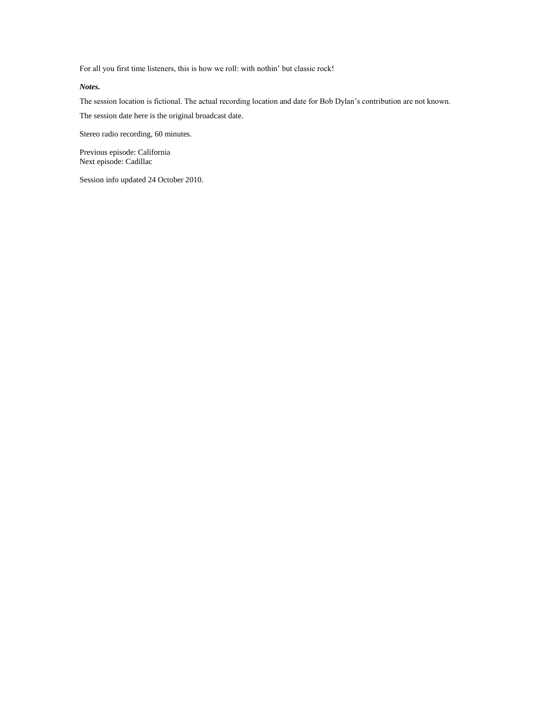For all you first time listeners, this is how we roll: with nothin' but classic rock!

*Notes.*

The session location is fictional. The actual recording location and date for Bob Dylan's contribution are not known. The session date here is the original broadcast date.

Stereo radio recording, 60 minutes.

Previous episode: [California](#page-35-0) Next episode: [Cadillac](#page-53-0)

Session info updated 24 October 2010.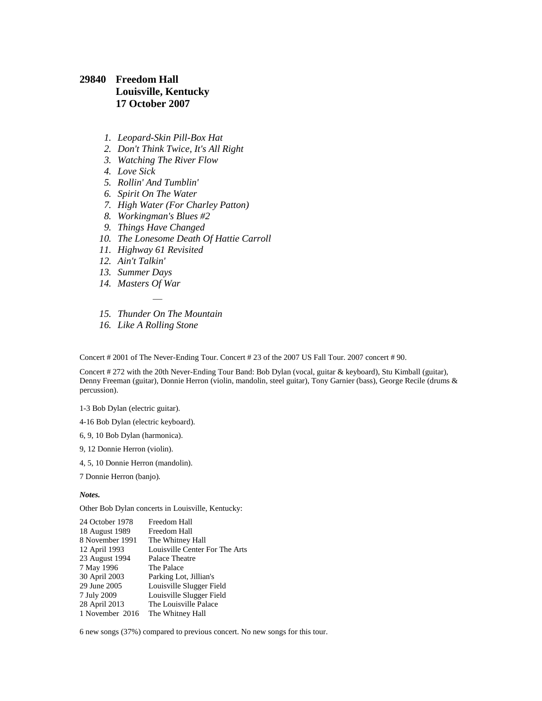## **29840 Freedom Hall Louisville, Kentucky 17 October 2007**

- *1. Leopard-Skin Pill-Box Hat*
- *2. Don't Think Twice, It's All Right*
- *3. Watching The River Flow*
- *4. Love Sick*
- *5. Rollin' And Tumblin'*
- *6. Spirit On The Water*
- *7. High Water (For Charley Patton)*
- *8. Workingman's Blues #2*
- *9. Things Have Changed*
- *10. The Lonesome Death Of Hattie Carroll*
- *11. Highway 61 Revisited*
- *12. Ain't Talkin'*
- *13. Summer Days*
- *14. Masters Of War*
- *— 15. Thunder On The Mountain*
- *16. Like A Rolling Stone*

Concert # 2001 of The Never-Ending Tour. Concert # 23 of the 2007 US Fall Tour. 2007 concert # 90.

Concert # 272 with the 20th Never-Ending Tour Band: Bob Dylan (vocal, guitar & keyboard), Stu Kimball (guitar), Denny Freeman (guitar), Donnie Herron (violin, mandolin, steel guitar), Tony Garnier (bass), George Recile (drums & percussion).

1-3 Bob Dylan (electric guitar).

4-16 Bob Dylan (electric keyboard).

- 6, 9, 10 Bob Dylan (harmonica).
- 9, 12 Donnie Herron (violin).
- 4, 5, 10 Donnie Herron (mandolin).

7 Donnie Herron (banjo).

#### *Notes.*

Other Bob Dylan concerts in Louisville, Kentucky:

| 24 October 1978 | Freedom Hall                   |
|-----------------|--------------------------------|
| 18 August 1989  | Freedom Hall                   |
| 8 November 1991 | The Whitney Hall               |
| 12 April 1993   | Louisville Center For The Arts |
| 23 August 1994  | Palace Theatre                 |
| 7 May 1996      | The Palace                     |
| 30 April 2003   | Parking Lot, Jillian's         |
| 29 June 2005    | Louisville Slugger Field       |
| 7 July 2009     | Louisville Slugger Field       |
| 28 April 2013   | The Louisville Palace          |
| 1 November 2016 | The Whitney Hall               |

6 new songs (37%) compared to previous concert. No new songs for this tour.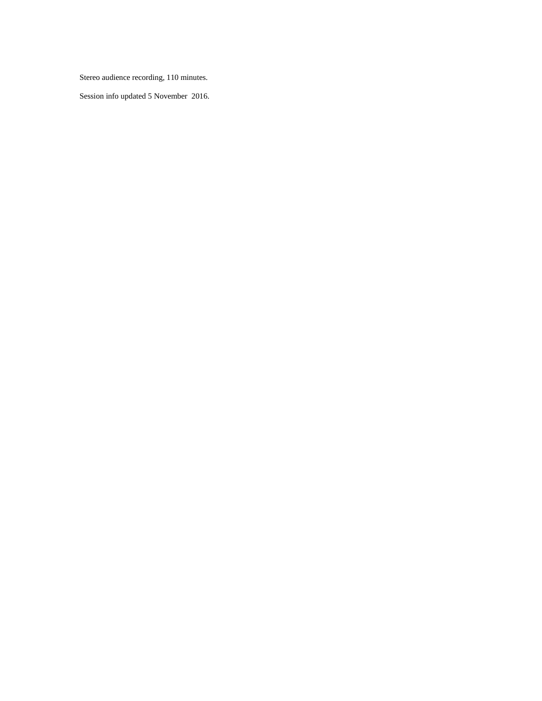Stereo audience recording, 110 minutes.

Session info updated 5 November 2016.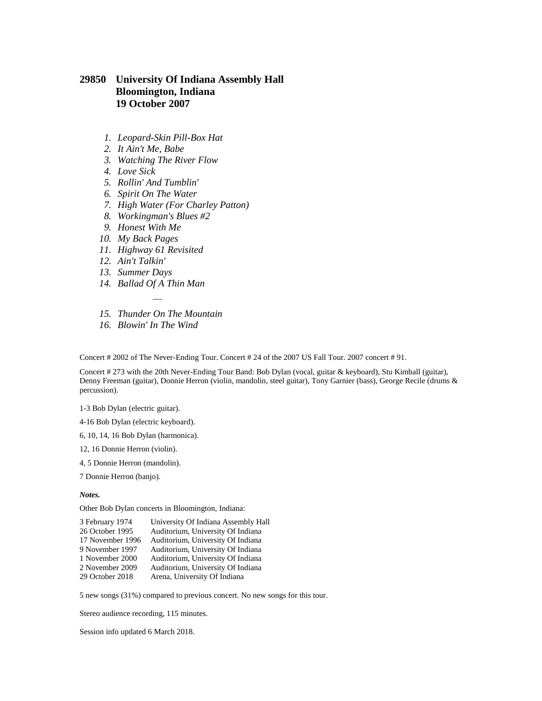## **29850 University Of Indiana Assembly Hall Bloomington, Indiana 19 October 2007**

- *1. Leopard-Skin Pill-Box Hat*
- *2. It Ain't Me, Babe*
- *3. Watching The River Flow*
- *4. Love Sick*
- *5. Rollin' And Tumblin'*
- *6. Spirit On The Water*
- *7. High Water (For Charley Patton)*
- *8. Workingman's Blues #2*
- *9. Honest With Me*
- *10. My Back Pages*
- *11. Highway 61 Revisited*
- *12. Ain't Talkin'*
- *13. Summer Days*
- *14. Ballad Of A Thin Man*
- *— 15. Thunder On The Mountain*
- *16. Blowin' In The Wind*

Concert # 2002 of The Never-Ending Tour. Concert # 24 of the 2007 US Fall Tour. 2007 concert # 91.

Concert # 273 with the 20th Never-Ending Tour Band: Bob Dylan (vocal, guitar & keyboard), Stu Kimball (guitar), Denny Freeman (guitar), Donnie Herron (violin, mandolin, steel guitar), Tony Garnier (bass), George Recile (drums & percussion).

1-3 Bob Dylan (electric guitar).

4-16 Bob Dylan (electric keyboard).

6, 10, 14, 16 Bob Dylan (harmonica).

- 12, 16 Donnie Herron (violin).
- 4, 5 Donnie Herron (mandolin).

7 Donnie Herron (banjo).

*Notes.*

Other Bob Dylan concerts in Bloomington, Indiana:

| University Of Indiana Assembly Hall |
|-------------------------------------|
| Auditorium, University Of Indiana   |
| Auditorium, University Of Indiana   |
| Auditorium, University Of Indiana   |
| Auditorium, University Of Indiana   |
| Auditorium, University Of Indiana   |
| Arena, University Of Indiana        |
|                                     |

5 new songs (31%) compared to previous concert. No new songs for this tour.

Stereo audience recording, 115 minutes.

Session info updated 6 March 2018.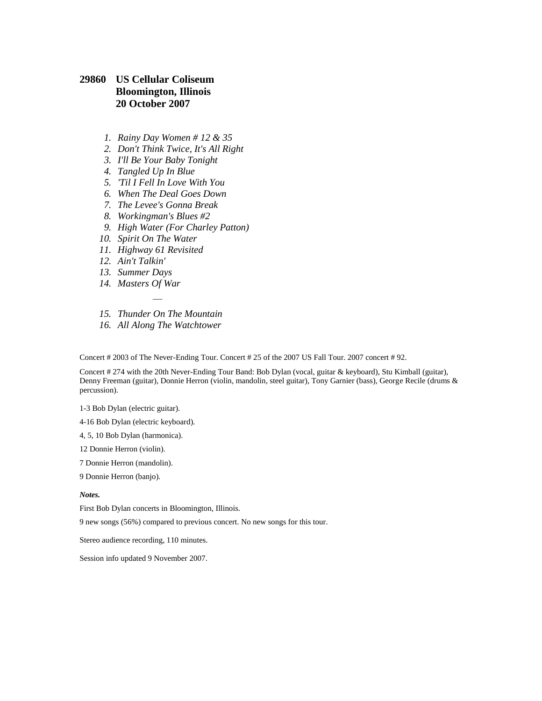### **29860 US Cellular Coliseum Bloomington, Illinois 20 October 2007**

- *1. Rainy Day Women # 12 & 35*
- *2. Don't Think Twice, It's All Right*
- *3. I'll Be Your Baby Tonight*
- *4. Tangled Up In Blue*
- *5. 'Til I Fell In Love With You*
- *6. When The Deal Goes Down*
- *7. The Levee's Gonna Break*
- *8. Workingman's Blues #2*
- *9. High Water (For Charley Patton)*
- *10. Spirit On The Water*
- *11. Highway 61 Revisited*
- *12. Ain't Talkin'*
- *13. Summer Days*
- *14. Masters Of War*
- *— 15. Thunder On The Mountain*
- *16. All Along The Watchtower*

Concert # 2003 of The Never-Ending Tour. Concert # 25 of the 2007 US Fall Tour. 2007 concert # 92.

Concert # 274 with the 20th Never-Ending Tour Band: Bob Dylan (vocal, guitar & keyboard), Stu Kimball (guitar), Denny Freeman (guitar), Donnie Herron (violin, mandolin, steel guitar), Tony Garnier (bass), George Recile (drums & percussion).

1-3 Bob Dylan (electric guitar).

4-16 Bob Dylan (electric keyboard).

- 4, 5, 10 Bob Dylan (harmonica).
- 12 Donnie Herron (violin).
- 7 Donnie Herron (mandolin).

9 Donnie Herron (banjo).

#### *Notes.*

First Bob Dylan concerts in Bloomington, Illinois.

9 new songs (56%) compared to previous concert. No new songs for this tour.

Stereo audience recording, 110 minutes.

Session info updated 9 November 2007.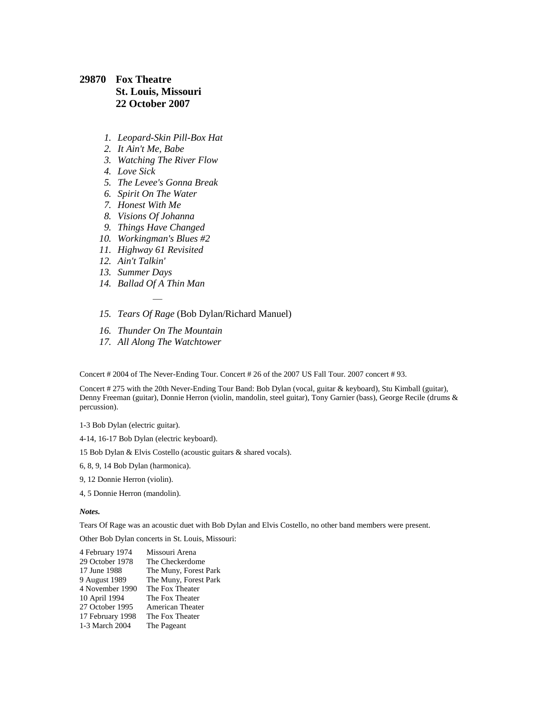## **29870 Fox Theatre St. Louis, Missouri 22 October 2007**

- *1. Leopard-Skin Pill-Box Hat*
- *2. It Ain't Me, Babe*
- *3. Watching The River Flow*
- *4. Love Sick*
- *5. The Levee's Gonna Break*
- *6. Spirit On The Water*
- *7. Honest With Me*
- *8. Visions Of Johanna*
- *9. Things Have Changed*
- *10. Workingman's Blues #2*
- *11. Highway 61 Revisited*
- *12. Ain't Talkin'*
- *13. Summer Days*
- *14. Ballad Of A Thin Man*

*—*

- *15. Tears Of Rage* (Bob Dylan/Richard Manuel)
- *16. Thunder On The Mountain*
- *17. All Along The Watchtower*

Concert # 2004 of The Never-Ending Tour. Concert # 26 of the 2007 US Fall Tour. 2007 concert # 93.

Concert # 275 with the 20th Never-Ending Tour Band: Bob Dylan (vocal, guitar & keyboard), Stu Kimball (guitar), Denny Freeman (guitar), Donnie Herron (violin, mandolin, steel guitar), Tony Garnier (bass), George Recile (drums & percussion).

1-3 Bob Dylan (electric guitar).

4-14, 16-17 Bob Dylan (electric keyboard).

15 Bob Dylan & Elvis Costello (acoustic guitars & shared vocals).

- 6, 8, 9, 14 Bob Dylan (harmonica).
- 9, 12 Donnie Herron (violin).
- 4, 5 Donnie Herron (mandolin).

*Notes.*

Tears Of Rage was an acoustic duet with Bob Dylan and Elvis Costello, no other band members were present.

Other Bob Dylan concerts in St. Louis, Missouri:

| 4 February 1974  | Missouri Arena        |
|------------------|-----------------------|
| 29 October 1978  | The Checkerdome       |
| 17 June 1988     | The Muny, Forest Park |
| 9 August 1989    | The Muny, Forest Park |
| 4 November 1990  | The Fox Theater       |
| 10 April 1994    | The Fox Theater       |
| 27 October 1995  | American Theater      |
| 17 February 1998 | The Fox Theater       |
| 1-3 March 2004   | The Pageant           |
|                  |                       |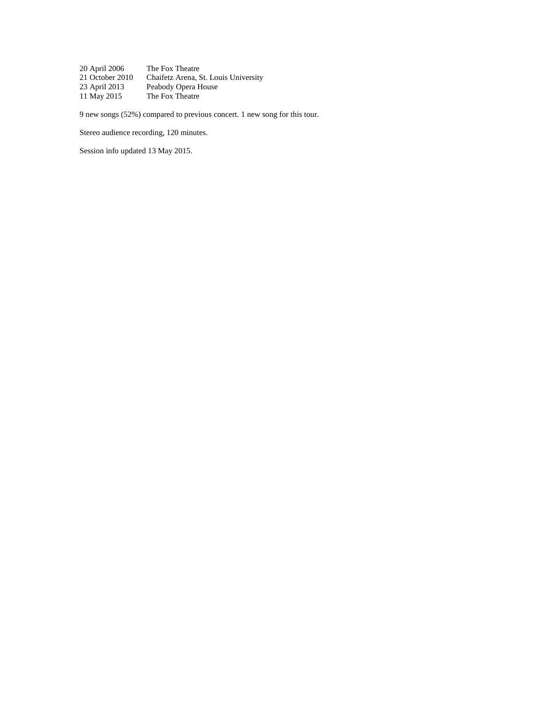[20 April 2006](file:///C:/Data/Privat/Websites/Olofsweb/DSN27960%20-%202006%20US%20Spring%20Tour.htm%23DSN28090) The Fox Theatre<br>21 October 2010 Chaifetz Arena, S [21 October 2010](file:///C:/Data/Privat/Websites/Olofsweb/DSN32500%20-%202010%20US%20FallTour.htm%23DSN32600) Chaifetz Arena, St. Louis University<br>23 April 2013 Peabody Opera House [23 April 2013](file:///C:/Users/Olof/AppData/Roaming/Microsoft/Word/DSN34660%20-%202013%20US%20Spring%20Tour.htm%23DSN34790) Peabody Opera House<br>11 May 2015 The Fox Theatre The Fox Theatre

9 new songs (52%) compared to previous concert. 1 new song for this tour.

Stereo audience recording, 120 minutes.

Session info updated 13 May 2015.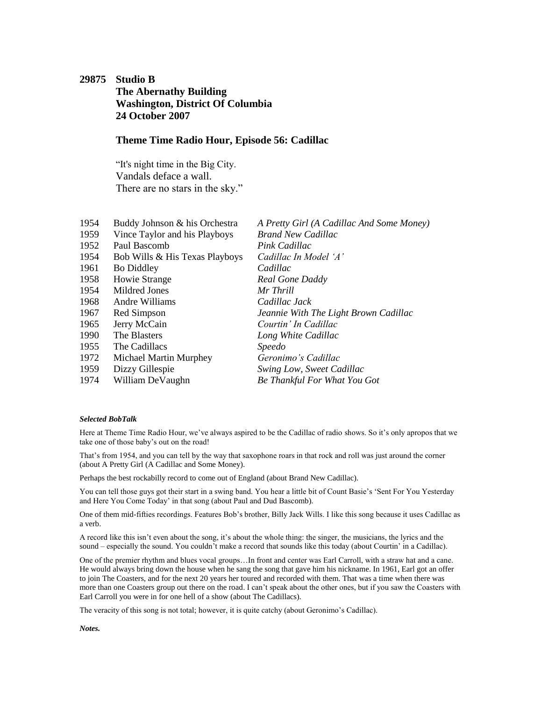## <span id="page-53-0"></span>**29875 Studio B The Abernathy Building Washington, District Of Columbia 24 October 2007**

### **Theme Time Radio Hour, Episode 56: Cadillac**

"It's night time in the Big City. Vandals deface a wall. There are no stars in the sky."

| 1954 | Buddy Johnson & his Orchestra  | A Pretty Girl (A Cadillac And Some Money) |
|------|--------------------------------|-------------------------------------------|
| 1959 | Vince Taylor and his Playboys  | <b>Brand New Cadillac</b>                 |
| 1952 | Paul Bascomb                   | Pink Cadillac                             |
| 1954 | Bob Wills & His Texas Playboys | Cadillac In Model 'A'                     |
| 1961 | <b>Bo Diddley</b>              | Cadillac                                  |
| 1958 | <b>Howie Strange</b>           | Real Gone Daddy                           |
| 1954 | Mildred Jones                  | Mr Thrill                                 |
| 1968 | Andre Williams                 | Cadillac Jack                             |
| 1967 | Red Simpson                    | Jeannie With The Light Brown Cadillac     |
| 1965 | Jerry McCain                   | Courtin' In Cadillac                      |
| 1990 | The Blasters                   | Long White Cadillac                       |
| 1955 | The Cadillacs                  | <i>Speedo</i>                             |
| 1972 | <b>Michael Martin Murphey</b>  | Geronimo's Cadillac                       |
| 1959 | Dizzy Gillespie                | Swing Low, Sweet Cadillac                 |
| 1974 | William DeVaughn               | <b>Be Thankful For What You Got</b>       |
|      |                                |                                           |

#### *Selected BobTalk*

Here at Theme Time Radio Hour, we've always aspired to be the Cadillac of radio shows. So it's only apropos that we take one of those baby's out on the road!

That's from 1954, and you can tell by the way that saxophone roars in that rock and roll was just around the corner (about A Pretty Girl (A Cadillac and Some Money).

Perhaps the best rockabilly record to come out of England (about Brand New Cadillac).

You can tell those guys got their start in a swing band. You hear a little bit of Count Basie's 'Sent For You Yesterday and Here You Come Today' in that song (about Paul and Dud Bascomb).

One of them mid-fifties recordings. Features Bob's brother, Billy Jack Wills. I like this song because it uses Cadillac as a verb.

A record like this isn't even about the song, it's about the whole thing: the singer, the musicians, the lyrics and the sound – especially the sound. You couldn't make a record that sounds like this today (about Courtin' in a Cadillac).

One of the premier rhythm and blues vocal groups…In front and center was Earl Carroll, with a straw hat and a cane. He would always bring down the house when he sang the song that gave him his nickname. In 1961, Earl got an offer to join The Coasters, and for the next 20 years her toured and recorded with them. That was a time when there was more than one Coasters group out there on the road. I can't speak about the other ones, but if you saw the Coasters with Earl Carroll you were in for one hell of a show (about The Cadillacs).

The veracity of this song is not total; however, it is quite catchy (about Geronimo's Cadillac).

*Notes.*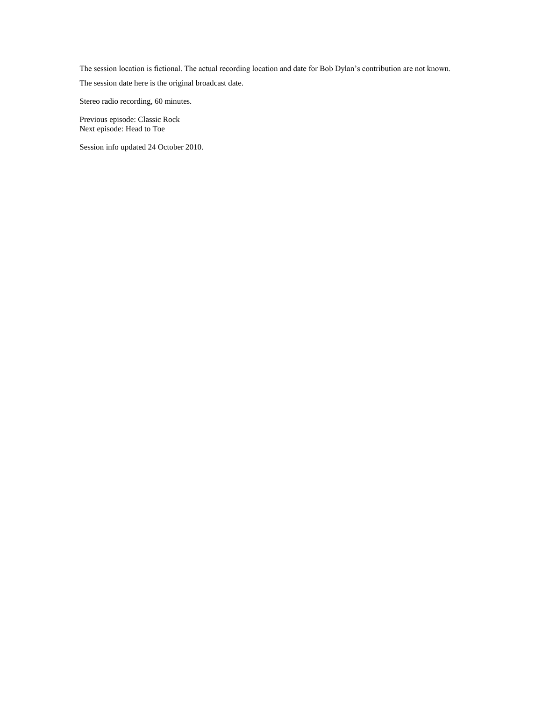The session location is fictional. The actual recording location and date for Bob Dylan's contribution are not known.

The session date here is the original broadcast date.

Stereo radio recording, 60 minutes.

Previous episode: [Classic Rock](#page-45-0) Next episode: [Head to Toe](#page-64-0)

Session info updated 24 October 2010.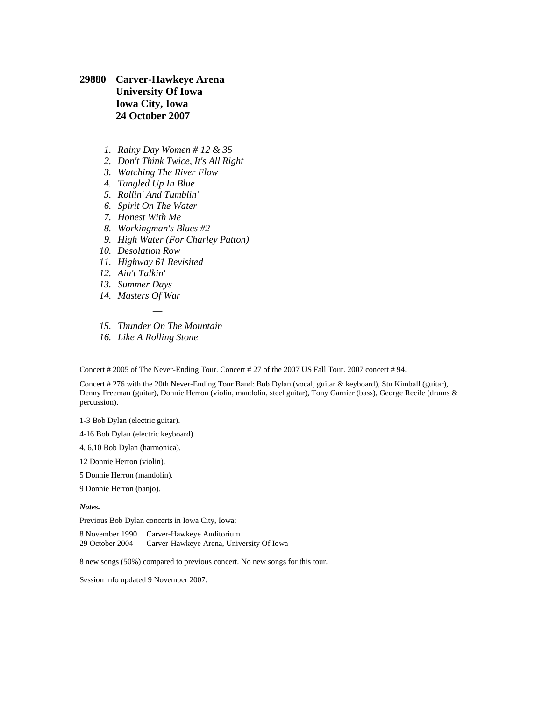# **29880 Carver-Hawkeye Arena University Of Iowa Iowa City, Iowa 24 October 2007**

- *1. Rainy Day Women # 12 & 35*
- *2. Don't Think Twice, It's All Right*
- *3. Watching The River Flow*
- *4. Tangled Up In Blue*
- *5. Rollin' And Tumblin'*
- *6. Spirit On The Water*
- *7. Honest With Me*
- *8. Workingman's Blues #2*
- *9. High Water (For Charley Patton)*
- *10. Desolation Row*
- *11. Highway 61 Revisited*
- *12. Ain't Talkin'*
- *13. Summer Days*
- *14. Masters Of War*
- *— 15. Thunder On The Mountain*
- *16. Like A Rolling Stone*

Concert # 2005 of The Never-Ending Tour. Concert # 27 of the 2007 US Fall Tour. 2007 concert # 94.

Concert # 276 with the 20th Never-Ending Tour Band: Bob Dylan (vocal, guitar & keyboard), Stu Kimball (guitar), Denny Freeman (guitar), Donnie Herron (violin, mandolin, steel guitar), Tony Garnier (bass), George Recile (drums & percussion).

1-3 Bob Dylan (electric guitar).

- 4-16 Bob Dylan (electric keyboard).
- 4, 6,10 Bob Dylan (harmonica).
- 12 Donnie Herron (violin).
- 5 Donnie Herron (mandolin).
- 9 Donnie Herron (banjo).

#### *Notes.*

Previous Bob Dylan concerts in Iowa City, Iowa:

[8 November 1990](file:///C:/Data/Privat/Websites/Olofsweb/DSN11530%20-%201990%20US%20Fall%20Tour.htm%23DSN11740) Carver-Hawkeye Auditorium [29 October 2004](file:///C:/Data/Privat/Websites/Olofsweb/DSN26540%20-%202004%20US%20Fall%20College%20Tour.htm%23DSN26650) Carver-Hawkeye Arena, University Of Iowa

8 new songs (50%) compared to previous concert. No new songs for this tour.

Session info updated 9 November 2007.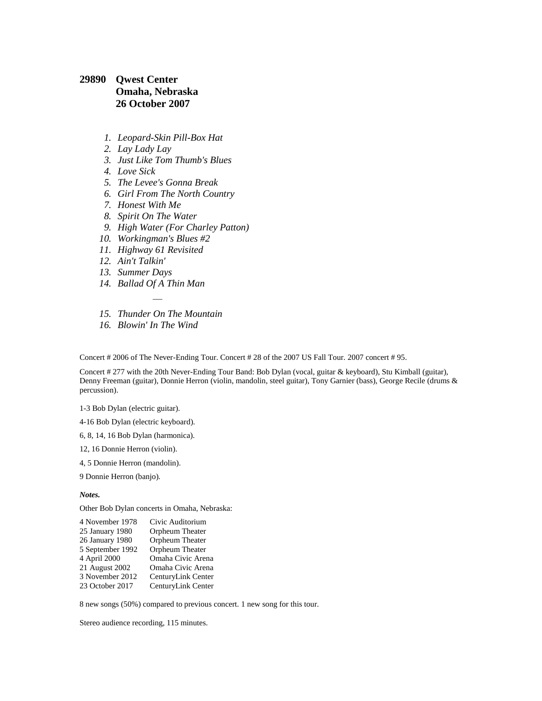## **29890 Qwest Center Omaha, Nebraska 26 October 2007**

- *1. Leopard-Skin Pill-Box Hat*
- *2. Lay Lady Lay*
- *3. Just Like Tom Thumb's Blues*
- *4. Love Sick*
- *5. The Levee's Gonna Break*
- *6. Girl From The North Country*
- *7. Honest With Me*
- *8. Spirit On The Water*
- *9. High Water (For Charley Patton)*
- *10. Workingman's Blues #2*
- *11. Highway 61 Revisited*
- *12. Ain't Talkin'*
- *13. Summer Days*
- *14. Ballad Of A Thin Man*
- *— 15. Thunder On The Mountain*
- *16. Blowin' In The Wind*

Concert # 2006 of The Never-Ending Tour. Concert # 28 of the 2007 US Fall Tour. 2007 concert # 95.

Concert # 277 with the 20th Never-Ending Tour Band: Bob Dylan (vocal, guitar & keyboard), Stu Kimball (guitar), Denny Freeman (guitar), Donnie Herron (violin, mandolin, steel guitar), Tony Garnier (bass), George Recile (drums & percussion).

1-3 Bob Dylan (electric guitar).

4-16 Bob Dylan (electric keyboard).

- 6, 8, 14, 16 Bob Dylan (harmonica).
- 12, 16 Donnie Herron (violin).
- 4, 5 Donnie Herron (mandolin).

9 Donnie Herron (banjo).

*Notes.*

Other Bob Dylan concerts in Omaha, Nebraska:

| 4 November 1978  | Civic Auditorium   |
|------------------|--------------------|
| 25 January 1980  | Orpheum Theater    |
| 26 January 1980  | Orpheum Theater    |
| 5 September 1992 | Orpheum Theater    |
| 4 April 2000     | Omaha Civic Arena  |
| 21 August 2002   | Omaha Civic Arena  |
| 3 November 2012  | CenturyLink Center |
| 23 October 2017  | CenturyLink Center |

8 new songs (50%) compared to previous concert. 1 new song for this tour.

Stereo audience recording, 115 minutes.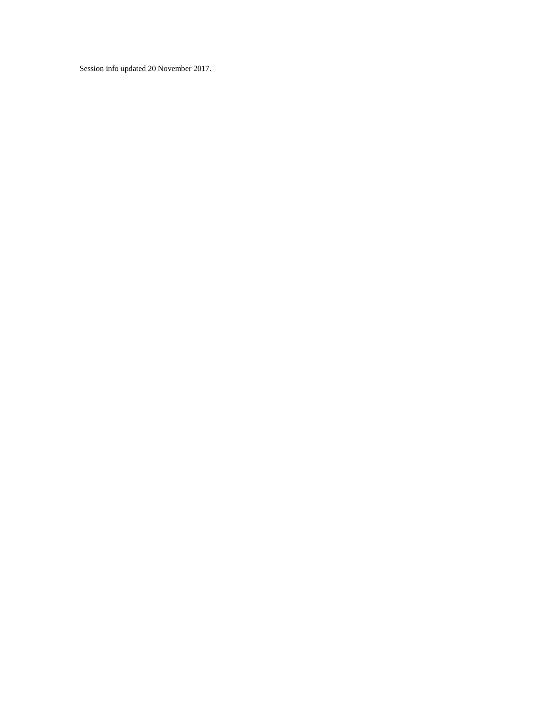Session info updated 20 November 2017.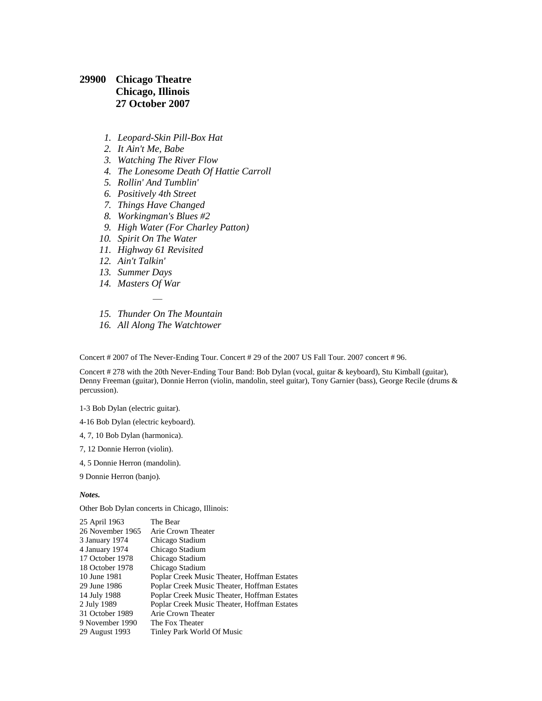## **29900 Chicago Theatre Chicago, Illinois 27 October 2007**

- *1. Leopard-Skin Pill-Box Hat*
- *2. It Ain't Me, Babe*
- *3. Watching The River Flow*
- *4. The Lonesome Death Of Hattie Carroll*
- *5. Rollin' And Tumblin'*
- *6. Positively 4th Street*
- *7. Things Have Changed*
- *8. Workingman's Blues #2*
- *9. High Water (For Charley Patton)*
- *10. Spirit On The Water*
- *11. Highway 61 Revisited*
- *12. Ain't Talkin'*
- *13. Summer Days*
- *14. Masters Of War*
- *— 15. Thunder On The Mountain*
- *16. All Along The Watchtower*

Concert # 2007 of The Never-Ending Tour. Concert # 29 of the 2007 US Fall Tour. 2007 concert # 96.

Concert # 278 with the 20th Never-Ending Tour Band: Bob Dylan (vocal, guitar & keyboard), Stu Kimball (guitar), Denny Freeman (guitar), Donnie Herron (violin, mandolin, steel guitar), Tony Garnier (bass), George Recile (drums & percussion).

1-3 Bob Dylan (electric guitar).

4-16 Bob Dylan (electric keyboard).

- 4, 7, 10 Bob Dylan (harmonica).
- 7, 12 Donnie Herron (violin).
- 4, 5 Donnie Herron (mandolin).

9 Donnie Herron (banjo).

#### *Notes.*

Other Bob Dylan concerts in Chicago, Illinois:

| The Bear                                    |
|---------------------------------------------|
| Arie Crown Theater                          |
| Chicago Stadium                             |
| Chicago Stadium                             |
| Chicago Stadium                             |
| Chicago Stadium                             |
| Poplar Creek Music Theater, Hoffman Estates |
| Poplar Creek Music Theater, Hoffman Estates |
| Poplar Creek Music Theater, Hoffman Estates |
| Poplar Creek Music Theater, Hoffman Estates |
| Arie Crown Theater                          |
| The Fox Theater                             |
| Tinley Park World Of Music                  |
|                                             |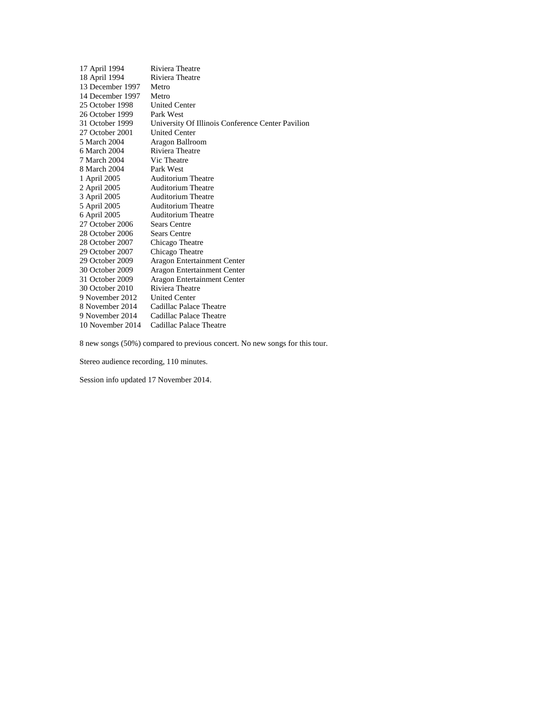| 17 April 1994    | Riviera Theatre                                   |
|------------------|---------------------------------------------------|
| 18 April 1994    | Riviera Theatre                                   |
| 13 December 1997 | Metro                                             |
| 14 December 1997 | Metro                                             |
| 25 October 1998  | <b>United Center</b>                              |
| 26 October 1999  | Park West                                         |
| 31 October 1999  | University Of Illinois Conference Center Pavilion |
| 27 October 2001  | <b>United Center</b>                              |
| 5 March 2004     | Aragon Ballroom                                   |
| 6 March 2004     | Riviera Theatre                                   |
| 7 March 2004     | Vic Theatre                                       |
| 8 March 2004     | Park West                                         |
| 1 April 2005     | <b>Auditorium Theatre</b>                         |
| 2 April 2005     | <b>Auditorium Theatre</b>                         |
| 3 April 2005     | <b>Auditorium Theatre</b>                         |
| 5 April 2005     | <b>Auditorium Theatre</b>                         |
| 6 April 2005     | <b>Auditorium Theatre</b>                         |
| 27 October 2006  | <b>Sears Centre</b>                               |
| 28 October 2006  | <b>Sears Centre</b>                               |
| 28 October 2007  | Chicago Theatre                                   |
| 29 October 2007  | Chicago Theatre                                   |
| 29 October 2009  | Aragon Entertainment Center                       |
| 30 October 2009  | Aragon Entertainment Center                       |
| 31 October 2009  | Aragon Entertainment Center                       |
| 30 October 2010  | Riviera Theatre                                   |
| 9 November 2012  | <b>United Center</b>                              |
| 8 November 2014  | Cadillac Palace Theatre                           |
| 9 November 2014  | Cadillac Palace Theatre                           |
| 10 November 2014 | Cadillac Palace Theatre                           |
|                  |                                                   |

8 new songs (50%) compared to previous concert. No new songs for this tour.

Stereo audience recording, 110 minutes.

Session info updated 17 November 2014.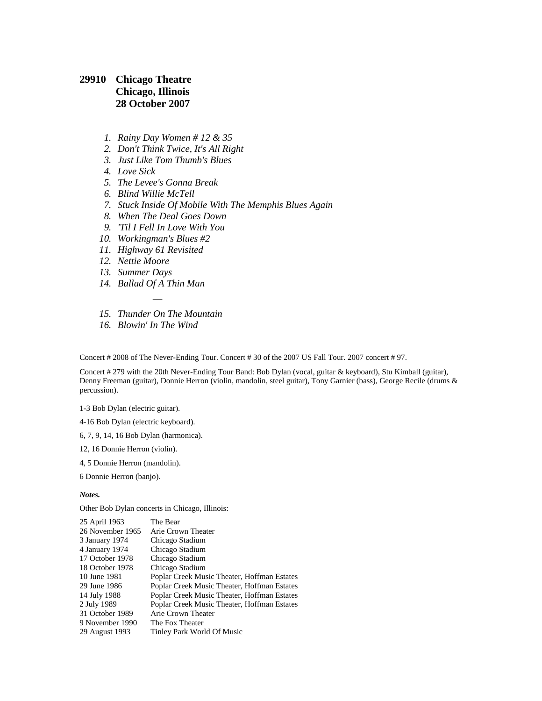## **29910 Chicago Theatre Chicago, Illinois 28 October 2007**

- *1. Rainy Day Women # 12 & 35*
- *2. Don't Think Twice, It's All Right*
- *3. Just Like Tom Thumb's Blues*
- *4. Love Sick*
- *5. The Levee's Gonna Break*
- *6. Blind Willie McTell*
- *7. Stuck Inside Of Mobile With The Memphis Blues Again*
- *8. When The Deal Goes Down*
- *9. 'Til I Fell In Love With You*
- *10. Workingman's Blues #2*
- *11. Highway 61 Revisited*
- *12. Nettie Moore*
- *13. Summer Days*
- *14. Ballad Of A Thin Man*
- *— 15. Thunder On The Mountain*
- *16. Blowin' In The Wind*

Concert # 2008 of The Never-Ending Tour. Concert # 30 of the 2007 US Fall Tour. 2007 concert # 97.

Concert # 279 with the 20th Never-Ending Tour Band: Bob Dylan (vocal, guitar & keyboard), Stu Kimball (guitar), Denny Freeman (guitar), Donnie Herron (violin, mandolin, steel guitar), Tony Garnier (bass), George Recile (drums & percussion).

1-3 Bob Dylan (electric guitar).

4-16 Bob Dylan (electric keyboard).

6, 7, 9, 14, 16 Bob Dylan (harmonica).

- 12, 16 Donnie Herron (violin).
- 4, 5 Donnie Herron (mandolin).

6 Donnie Herron (banjo).

#### *Notes.*

Other Bob Dylan concerts in Chicago, Illinois:

| The Bear                                    |
|---------------------------------------------|
| Arie Crown Theater                          |
| Chicago Stadium                             |
| Chicago Stadium                             |
| Chicago Stadium                             |
| Chicago Stadium                             |
| Poplar Creek Music Theater, Hoffman Estates |
| Poplar Creek Music Theater, Hoffman Estates |
| Poplar Creek Music Theater, Hoffman Estates |
| Poplar Creek Music Theater, Hoffman Estates |
| Arie Crown Theater                          |
| The Fox Theater                             |
| Tinley Park World Of Music                  |
|                                             |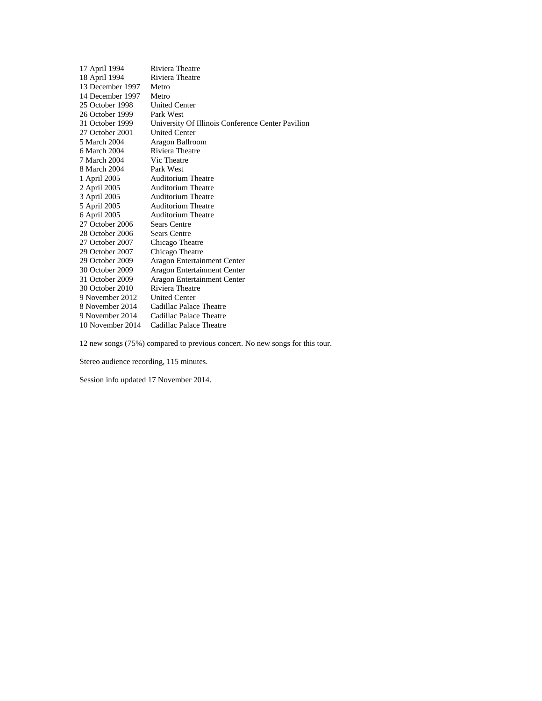| 17 April 1994    | Riviera Theatre                                   |
|------------------|---------------------------------------------------|
| 18 April 1994    | Riviera Theatre                                   |
| 13 December 1997 | Metro                                             |
| 14 December 1997 | Metro                                             |
| 25 October 1998  | <b>United Center</b>                              |
| 26 October 1999  | Park West                                         |
| 31 October 1999  | University Of Illinois Conference Center Pavilion |
| 27 October 2001  | <b>United Center</b>                              |
| 5 March 2004     | Aragon Ballroom                                   |
| 6 March 2004     | Riviera Theatre                                   |
| 7 March 2004     | Vic Theatre                                       |
| 8 March 2004     | Park West                                         |
| 1 April 2005     | <b>Auditorium Theatre</b>                         |
| 2 April 2005     | <b>Auditorium Theatre</b>                         |
| 3 April 2005     | <b>Auditorium Theatre</b>                         |
| 5 April 2005     | <b>Auditorium Theatre</b>                         |
| 6 April 2005     | <b>Auditorium Theatre</b>                         |
| 27 October 2006  | <b>Sears Centre</b>                               |
| 28 October 2006  | <b>Sears Centre</b>                               |
| 27 October 2007  | Chicago Theatre                                   |
| 29 October 2007  | Chicago Theatre                                   |
| 29 October 2009  | Aragon Entertainment Center                       |
| 30 October 2009  | Aragon Entertainment Center                       |
| 31 October 2009  | Aragon Entertainment Center                       |
| 30 October 2010  | Riviera Theatre                                   |
| 9 November 2012  | <b>United Center</b>                              |
| 8 November 2014  | Cadillac Palace Theatre                           |
| 9 November 2014  | Cadillac Palace Theatre                           |
| 10 November 2014 | Cadillac Palace Theatre                           |
|                  |                                                   |

12 new songs (75%) compared to previous concert. No new songs for this tour.

Stereo audience recording, 115 minutes.

Session info updated 17 November 2014.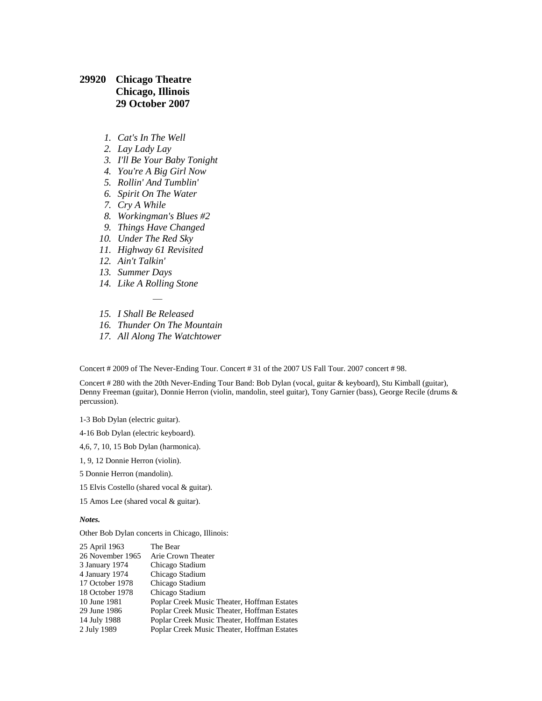## **29920 Chicago Theatre Chicago, Illinois 29 October 2007**

- *1. Cat's In The Well*
- *2. Lay Lady Lay*
- *3. I'll Be Your Baby Tonight*
- *4. You're A Big Girl Now*
- *5. Rollin' And Tumblin'*
- *6. Spirit On The Water*
- *7. Cry A While*
- *8. Workingman's Blues #2*
- *9. Things Have Changed*
- *10. Under The Red Sky*
- *11. Highway 61 Revisited*
- *12. Ain't Talkin'*
- *13. Summer Days*
- *14. Like A Rolling Stone*
- *15. I Shall Be Released*
- *16. Thunder On The Mountain*

*—*

*17. All Along The Watchtower*

Concert # 2009 of The Never-Ending Tour. Concert # 31 of the 2007 US Fall Tour. 2007 concert # 98.

Concert # 280 with the 20th Never-Ending Tour Band: Bob Dylan (vocal, guitar & keyboard), Stu Kimball (guitar), Denny Freeman (guitar), Donnie Herron (violin, mandolin, steel guitar), Tony Garnier (bass), George Recile (drums & percussion).

1-3 Bob Dylan (electric guitar).

4-16 Bob Dylan (electric keyboard).

4,6, 7, 10, 15 Bob Dylan (harmonica).

1, 9, 12 Donnie Herron (violin).

5 Donnie Herron (mandolin).

15 Elvis Costello (shared vocal & guitar).

15 Amos Lee (shared vocal & guitar).

*Notes.*

Other Bob Dylan concerts in Chicago, Illinois:

| 25 April 1963    | The Bear                                    |
|------------------|---------------------------------------------|
| 26 November 1965 | Arie Crown Theater                          |
| 3 January 1974   | Chicago Stadium                             |
| 4 January 1974   | Chicago Stadium                             |
| 17 October 1978  | Chicago Stadium                             |
| 18 October 1978  | Chicago Stadium                             |
| 10 June 1981     | Poplar Creek Music Theater, Hoffman Estates |
| 29 June 1986     | Poplar Creek Music Theater, Hoffman Estates |
| 14 July 1988     | Poplar Creek Music Theater, Hoffman Estates |
| 2 July 1989      | Poplar Creek Music Theater, Hoffman Estates |
|                  |                                             |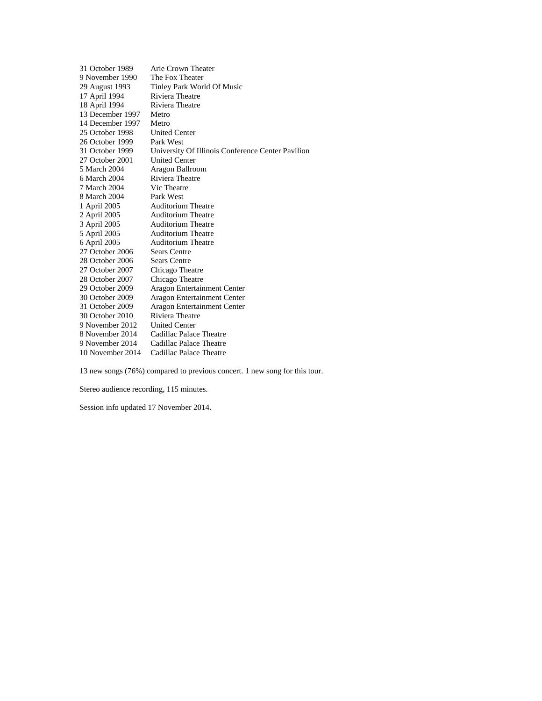| 31 October 1989  | Arie Crown Theater                                |
|------------------|---------------------------------------------------|
| 9 November 1990  | The Fox Theater                                   |
| 29 August 1993   | Tinley Park World Of Music                        |
| 17 April 1994    | Riviera Theatre                                   |
| 18 April 1994    | Riviera Theatre                                   |
| 13 December 1997 | Metro                                             |
| 14 December 1997 | Metro                                             |
| 25 October 1998  | <b>United Center</b>                              |
| 26 October 1999  | Park West                                         |
| 31 October 1999  | University Of Illinois Conference Center Pavilion |
| 27 October 2001  | <b>United Center</b>                              |
| 5 March 2004     | Aragon Ballroom                                   |
| 6 March 2004     | Riviera Theatre                                   |
| 7 March 2004     | Vic Theatre                                       |
| 8 March 2004     | Park West                                         |
| 1 April 2005     | <b>Auditorium Theatre</b>                         |
| 2 April 2005     | <b>Auditorium Theatre</b>                         |
| 3 April 2005     | <b>Auditorium Theatre</b>                         |
| 5 April 2005     | <b>Auditorium Theatre</b>                         |
| 6 April 2005     | <b>Auditorium Theatre</b>                         |
| 27 October 2006  | Sears Centre                                      |
| 28 October 2006  | <b>Sears Centre</b>                               |
| 27 October 2007  | Chicago Theatre                                   |
| 28 October 2007  | Chicago Theatre                                   |
| 29 October 2009  | Aragon Entertainment Center                       |
| 30 October 2009  | Aragon Entertainment Center                       |
| 31 October 2009  | Aragon Entertainment Center                       |
| 30 October 2010  | Riviera Theatre                                   |
| 9 November 2012  | <b>United Center</b>                              |
| 8 November 2014  | Cadillac Palace Theatre                           |
| 9 November 2014  | Cadillac Palace Theatre                           |
| 10 November 2014 | Cadillac Palace Theatre                           |

13 new songs (76%) compared to previous concert. 1 new song for this tour.

Stereo audience recording, 115 minutes.

Session info updated 17 November 2014.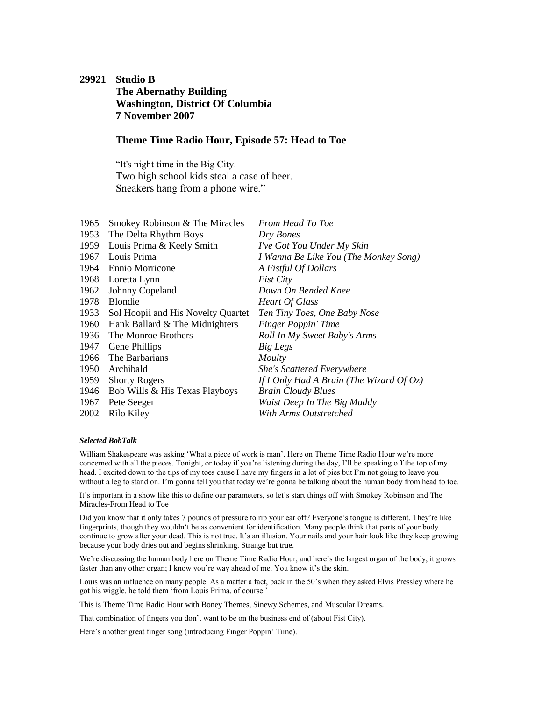## <span id="page-64-0"></span>**29921 Studio B The Abernathy Building Washington, District Of Columbia 7 November 2007**

### **Theme Time Radio Hour, Episode 57: Head to Toe**

"It's night time in the Big City. Two high school kids steal a case of beer. Sneakers hang from a phone wire."

| Smokey Robinson & The Miracles     | From Head To Toe                            |
|------------------------------------|---------------------------------------------|
| The Delta Rhythm Boys              | Dry Bones                                   |
| Louis Prima & Keely Smith          | I've Got You Under My Skin                  |
| Louis Prima                        | I Wanna Be Like You (The Monkey Song)       |
| Ennio Morricone                    | A Fistful Of Dollars                        |
| Loretta Lynn                       | <b>Fist City</b>                            |
| Johnny Copeland                    | Down On Bended Knee                         |
| <b>Blondie</b>                     | <b>Heart Of Glass</b>                       |
| Sol Hoopii and His Novelty Quartet | Ten Tiny Toes, One Baby Nose                |
| Hank Ballard & The Midnighters     | Finger Poppin' Time                         |
| The Monroe Brothers                | Roll In My Sweet Baby's Arms                |
| Gene Phillips                      | Big Legs                                    |
| The Barbarians                     | Moulty                                      |
| Archibald                          | <b>She's Scattered Everywhere</b>           |
| <b>Shorty Rogers</b>               | If I Only Had A Brain (The Wizard Of $Oz$ ) |
| Bob Wills & His Texas Playboys     | <b>Brain Cloudy Blues</b>                   |
| Pete Seeger                        | Waist Deep In The Big Muddy                 |
| Rilo Kiley                         | With Arms Outstretched                      |
|                                    |                                             |

#### *Selected BobTalk*

William Shakespeare was asking 'What a piece of work is man'. Here on Theme Time Radio Hour we're more concerned with all the pieces. Tonight, or today if you're listening during the day, I'll be speaking off the top of my head. I excited down to the tips of my toes cause I have my fingers in a lot of pies but I'm not going to leave you without a leg to stand on. I'm gonna tell you that today we're gonna be talking about the human body from head to toe.

It's important in a show like this to define our parameters, so let's start things off with Smokey Robinson and The Miracles-From Head to Toe

Did you know that it only takes 7 pounds of pressure to rip your ear off? Everyone's tongue is different. They're like fingerprints, though they wouldn't be as convenient for identification. Many people think that parts of your body continue to grow after your dead. This is not true. It's an illusion. Your nails and your hair look like they keep growing because your body dries out and begins shrinking. Strange but true.

We're discussing the human body here on Theme Time Radio Hour, and here's the largest organ of the body, it grows faster than any other organ; I know you're way ahead of me. You know it's the skin.

Louis was an influence on many people. As a matter a fact, back in the 50's when they asked Elvis Pressley where he got his wiggle, he told them 'from Louis Prima, of course.'

This is Theme Time Radio Hour with Boney Themes, Sinewy Schemes, and Muscular Dreams.

That combination of fingers you don't want to be on the business end of (about Fist City).

Here's another great finger song (introducing Finger Poppin' Time).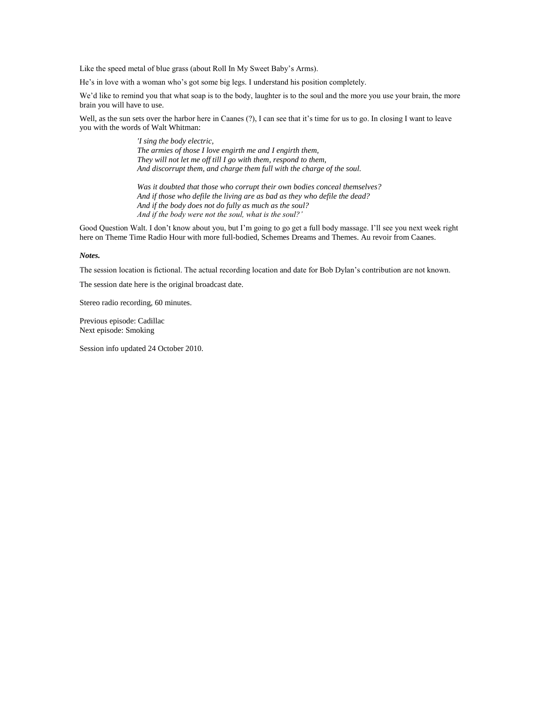Like the speed metal of blue grass (about Roll In My Sweet Baby's Arms).

He's in love with a woman who's got some big legs. I understand his position completely.

We'd like to remind you that what soap is to the body, laughter is to the soul and the more you use your brain, the more brain you will have to use.

Well, as the sun sets over the harbor here in Caanes (?), I can see that it's time for us to go. In closing I want to leave you with the words of Walt Whitman:

> *'I sing the body electric, The armies of those I love engirth me and I engirth them, They will not let me off till I go with them, respond to them, And discorrupt them, and charge them full with the charge of the soul.*

*Was it doubted that those who corrupt their own bodies conceal themselves? And if those who defile the living are as bad as they who defile the dead? And if the body does not do fully as much as the soul? And if the body were not the soul, what is the soul?'*

Good Question Walt. I don't know about you, but I'm going to go get a full body massage. I'll see you next week right here on Theme Time Radio Hour with more full-bodied, Schemes Dreams and Themes. Au revoir from Caanes.

*Notes.*

The session location is fictional. The actual recording location and date for Bob Dylan's contribution are not known.

The session date here is the original broadcast date.

Stereo radio recording, 60 minutes.

Previous episode: [Cadillac](#page-53-0) Next episode: [Smoking](#page-66-0)

Session info updated 24 October 2010.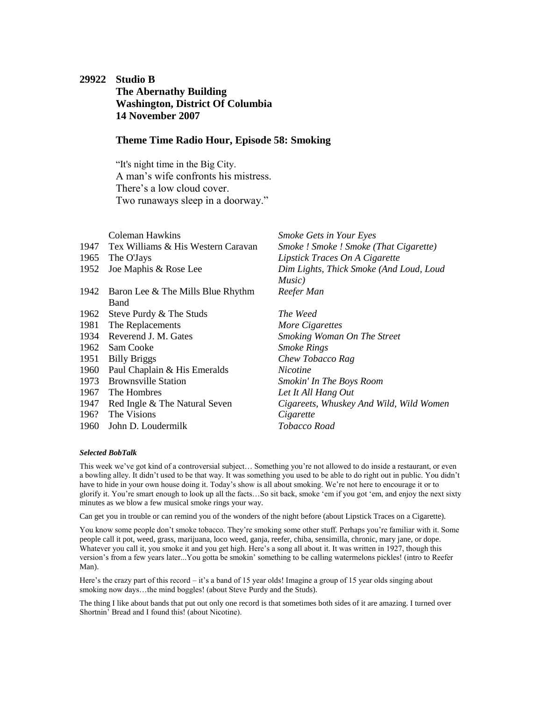# <span id="page-66-0"></span>**29922 Studio B The Abernathy Building Washington, District Of Columbia 14 November 2007**

### **Theme Time Radio Hour, Episode 58: Smoking**

"It's night time in the Big City. A man's wife confronts his mistress. There's a low cloud cover. Two runaways sleep in a doorway."

|      | Coleman Hawkins                         | <b>Smoke Gets in Your Eyes</b>          |
|------|-----------------------------------------|-----------------------------------------|
|      | 1947 Tex Williams & His Western Caravan | Smoke ! Smoke ! Smoke (That Cigarette)  |
| 1965 | The O'Jays                              | Lipstick Traces On A Cigarette          |
| 1952 | Joe Maphis & Rose Lee                   | Dim Lights, Thick Smoke (And Loud, Loud |
|      |                                         | Music)                                  |
|      | 1942 Baron Lee & The Mills Blue Rhythm  | Reefer Man                              |
|      | Band                                    |                                         |
|      | 1962 Steve Purdy & The Studs            | The Weed                                |
| 1981 | The Replacements                        | More Cigarettes                         |
|      | 1934 Reverend J. M. Gates               | Smoking Woman On The Street             |
|      | 1962 Sam Cooke                          | <b>Smoke Rings</b>                      |
| 1951 | <b>Billy Briggs</b>                     | Chew Tobacco Rag                        |
| 1960 | Paul Chaplain & His Emeralds            | <i>Nicotine</i>                         |
| 1973 | <b>Brownsville Station</b>              | Smokin' In The Boys Room                |
| 1967 | The Hombres                             | Let It All Hang Out                     |
| 1947 | Red Ingle & The Natural Seven           | Cigareets, Whuskey And Wild, Wild Women |
|      | 196? The Visions                        | Cigarette                               |
|      | 1960 John D. Loudermilk                 | Tobacco Road                            |

### *Selected BobTalk*

This week we've got kind of a controversial subject… Something you're not allowed to do inside a restaurant, or even a bowling alley. It didn't used to be that way. It was something you used to be able to do right out in public. You didn't have to hide in your own house doing it. Today's show is all about smoking. We're not here to encourage it or to glorify it. You're smart enough to look up all the facts…So sit back, smoke 'em if you got 'em, and enjoy the next sixty minutes as we blow a few musical smoke rings your way.

Can get you in trouble or can remind you of the wonders of the night before (about Lipstick Traces on a Cigarette).

You know some people don't smoke tobacco. They're smoking some other stuff. Perhaps you're familiar with it. Some people call it pot, weed, grass, marijuana, loco weed, ganja, reefer, chiba, sensimilla, chronic, mary jane, or dope. Whatever you call it, you smoke it and you get high. Here's a song all about it. It was written in 1927, though this version's from a few years later...You gotta be smokin' something to be calling watermelons pickles! (intro to Reefer Man).

Here's the crazy part of this record – it's a band of 15 year olds! Imagine a group of 15 year olds singing about smoking now days…the mind boggles! (about Steve Purdy and the Studs).

The thing I like about bands that put out only one record is that sometimes both sides of it are amazing. I turned over Shortnin' Bread and I found this! (about Nicotine).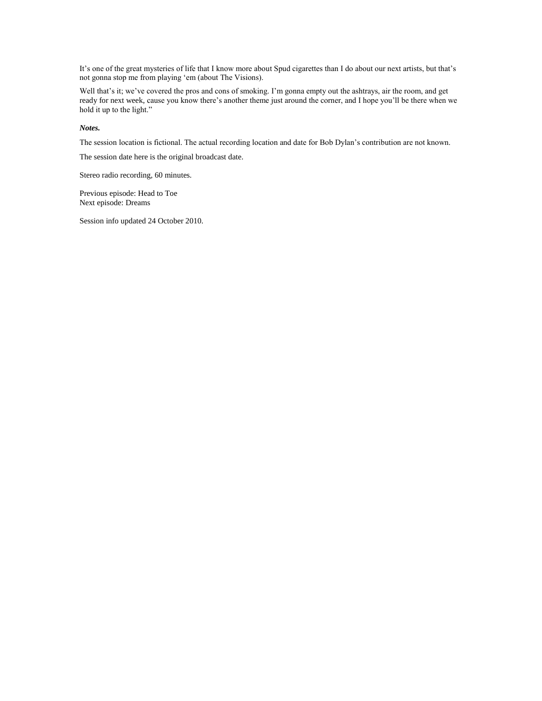It's one of the great mysteries of life that I know more about Spud cigarettes than I do about our next artists, but that's not gonna stop me from playing 'em (about The Visions).

Well that's it; we've covered the pros and cons of smoking. I'm gonna empty out the ashtrays, air the room, and get ready for next week, cause you know there's another theme just around the corner, and I hope you'll be there when we hold it up to the light."

#### *Notes.*

The session location is fictional. The actual recording location and date for Bob Dylan's contribution are not known.

The session date here is the original broadcast date.

Stereo radio recording, 60 minutes.

Previous episode: [Head to Toe](#page-64-0) Next episode: [Dreams](#page-68-0)

Session info updated 24 October 2010.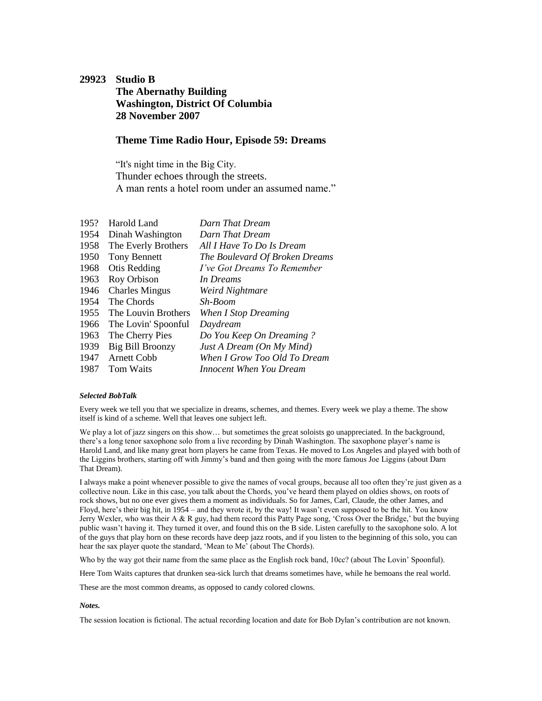# <span id="page-68-0"></span>**29923 Studio B The Abernathy Building Washington, District Of Columbia 28 November 2007**

### **Theme Time Radio Hour, Episode 59: Dreams**

"It's night time in the Big City. Thunder echoes through the streets. A man rents a hotel room under an assumed name."

| Harold Land           | Darn That Dream                |
|-----------------------|--------------------------------|
| Dinah Washington      | Darn That Dream                |
| The Everly Brothers   | All I Have To Do Is Dream      |
| <b>Tony Bennett</b>   | The Boulevard Of Broken Dreams |
| Otis Redding          | I've Got Dreams To Remember    |
| Roy Orbison           | In Dreams                      |
| <b>Charles Mingus</b> | Weird Nightmare                |
| The Chords            | Sh-Boom                        |
| The Louvin Brothers   | When I Stop Dreaming           |
| The Lovin' Spoonful   | Daydream                       |
| The Cherry Pies       | Do You Keep On Dreaming?       |
| Big Bill Broonzy      | Just A Dream (On My Mind)      |
| <b>Arnett Cobb</b>    | When I Grow Too Old To Dream   |
| Tom Waits             | Innocent When You Dream        |
|                       |                                |

#### *Selected BobTalk*

Every week we tell you that we specialize in dreams, schemes, and themes. Every week we play a theme. The show itself is kind of a scheme. Well that leaves one subject left.

We play a lot of jazz singers on this show... but sometimes the great soloists go unappreciated. In the background, there's a long tenor saxophone solo from a live recording by Dinah Washington. The saxophone player's name is Harold Land, and like many great horn players he came from Texas. He moved to Los Angeles and played with both of the Liggins brothers, starting off with Jimmy's band and then going with the more famous Joe Liggins (about Darn That Dream).

I always make a point whenever possible to give the names of vocal groups, because all too often they're just given as a collective noun. Like in this case, you talk about the Chords, you've heard them played on oldies shows, on roots of rock shows, but no one ever gives them a moment as individuals. So for James, Carl, Claude, the other James, and Floyd, here's their big hit, in 1954 – and they wrote it, by the way! It wasn't even supposed to be the hit. You know Jerry Wexler, who was their A & R guy, had them record this Patty Page song, 'Cross Over the Bridge,' but the buying public wasn't having it. They turned it over, and found this on the B side. Listen carefully to the saxophone solo. A lot of the guys that play horn on these records have deep jazz roots, and if you listen to the beginning of this solo, you can hear the sax player quote the standard, 'Mean to Me' (about The Chords).

Who by the way got their name from the same place as the English rock band, 10cc? (about The Lovin' Spoonful).

Here Tom Waits captures that drunken sea-sick lurch that dreams sometimes have, while he bemoans the real world.

These are the most common dreams, as opposed to candy colored clowns.

#### *Notes.*

The session location is fictional. The actual recording location and date for Bob Dylan's contribution are not known.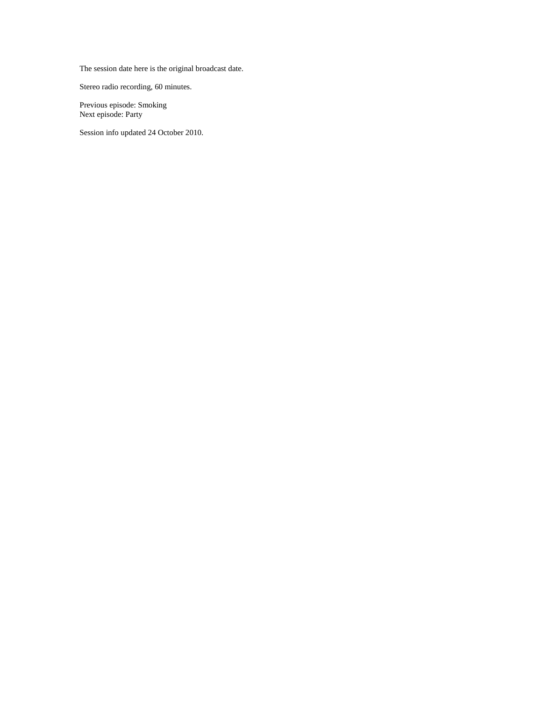The session date here is the original broadcast date.

Stereo radio recording, 60 minutes.

Previous episode: [Smoking](#page-66-0) Next episode: [Party](#page-70-0)

Session info updated 24 October 2010.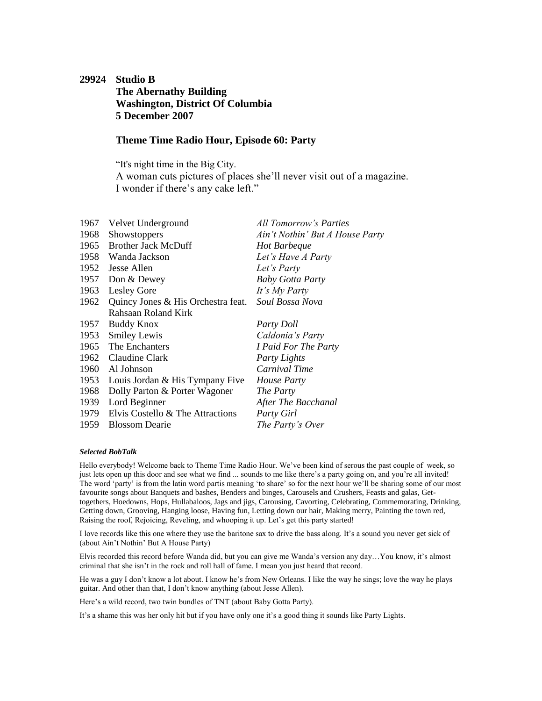# <span id="page-70-0"></span>**29924 Studio B The Abernathy Building Washington, District Of Columbia 5 December 2007**

### **Theme Time Radio Hour, Episode 60: Party**

"It's night time in the Big City. A woman cuts pictures of places she'll never visit out of a magazine. I wonder if there's any cake left."

| 1967 | Velvet Underground                 | All Tomorrow's Parties          |
|------|------------------------------------|---------------------------------|
| 1968 | Showstoppers                       | Ain't Nothin' But A House Party |
| 1965 | <b>Brother Jack McDuff</b>         | Hot Barbeque                    |
|      | 1958 Wanda Jackson                 | Let's Have A Party              |
|      | 1952 Jesse Allen                   | Let's Party                     |
| 1957 | Don & Dewey                        | <b>Baby Gotta Party</b>         |
| 1963 | Lesley Gore                        | It's My Party                   |
| 1962 | Quincy Jones & His Orchestra feat. | Soul Bossa Nova                 |
|      | Rahsaan Roland Kirk                |                                 |
| 1957 | Buddy Knox                         | Party Doll                      |
| 1953 | <b>Smiley Lewis</b>                | Caldonia's Party                |
|      | 1965 The Enchanters                | I Paid For The Party            |
|      | 1962 Claudine Clark                | Party Lights                    |
| 1960 | Al Johnson                         | Carnival Time                   |
| 1953 | Louis Jordan & His Tympany Five    | <i>House Party</i>              |
| 1968 | Dolly Parton & Porter Wagoner      | The Party                       |
| 1939 | Lord Beginner                      | After The Bacchanal             |
| 1979 | Elvis Costello & The Attractions   | Party Girl                      |
| 1959 | <b>Blossom Dearie</b>              | The Party's Over                |

### *Selected BobTalk*

Hello everybody! Welcome back to Theme Time Radio Hour. We've been kind of serous the past couple of week, so just lets open up this door and see what we find ... sounds to me like there's a party going on, and you're all invited! The word 'party' is from the latin word partis meaning 'to share' so for the next hour we'll be sharing some of our most favourite songs about Banquets and bashes, Benders and binges, Carousels and Crushers, Feasts and galas, Gettogethers, Hoedowns, Hops, Hullabaloos, Jags and jigs, Carousing, Cavorting, Celebrating, Commemorating, Drinking, Getting down, Grooving, Hanging loose, Having fun, Letting down our hair, Making merry, Painting the town red, Raising the roof, Rejoicing, Reveling, and whooping it up. Let's get this party started!

I love records like this one where they use the baritone sax to drive the bass along. It's a sound you never get sick of (about Ain't Nothin' But A House Party)

Elvis recorded this record before Wanda did, but you can give me Wanda's version any day…You know, it's almost criminal that she isn't in the rock and roll hall of fame. I mean you just heard that record.

He was a guy I don't know a lot about. I know he's from New Orleans. I like the way he sings; love the way he plays guitar. And other than that, I don't know anything (about Jesse Allen).

Here's a wild record, two twin bundles of TNT (about Baby Gotta Party).

It's a shame this was her only hit but if you have only one it's a good thing it sounds like Party Lights.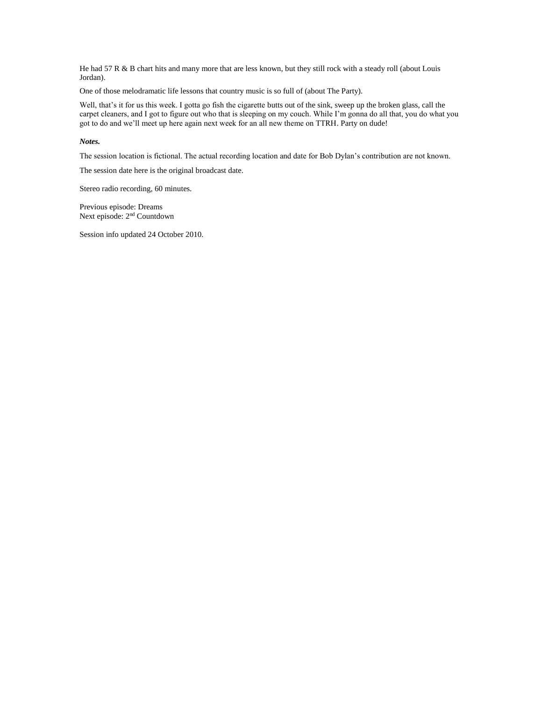He had 57 R & B chart hits and many more that are less known, but they still rock with a steady roll (about Louis Jordan).

One of those melodramatic life lessons that country music is so full of (about The Party).

Well, that's it for us this week. I gotta go fish the cigarette butts out of the sink, sweep up the broken glass, call the carpet cleaners, and I got to figure out who that is sleeping on my couch. While I'm gonna do all that, you do what you got to do and we'll meet up here again next week for an all new theme on TTRH. Party on dude!

#### *Notes.*

The session location is fictional. The actual recording location and date for Bob Dylan's contribution are not known.

The session date here is the original broadcast date.

Stereo radio recording, 60 minutes.

Previous episode: [Dreams](#page-68-0) Next episode: 2<sup>nd</sup> [Countdown](#page-72-0)

Session info updated 24 October 2010.